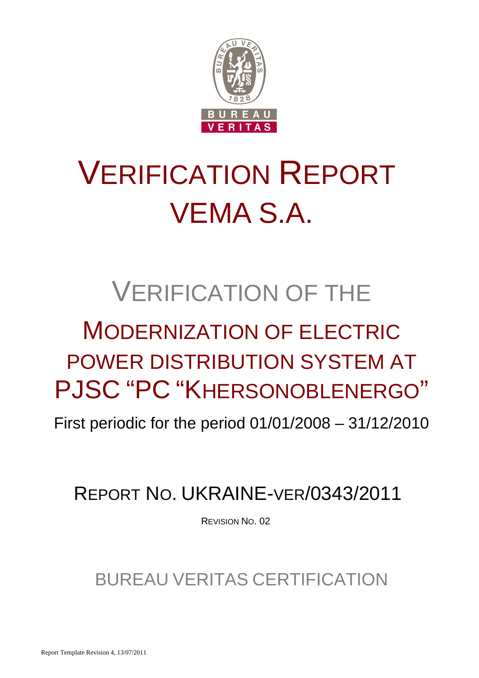

# VERIFICATION REPORT VEMA S.A.

## VERIFICATION OF THE

## MODERNIZATION OF ELECTRIC POWER DISTRIBUTION SYSTEM AT PJSC "PC "KHERSONOBLENERGO"

First periodic for the period 01/01/2008 – 31/12/2010

## REPORT NO. UKRAINE-VER/0343/2011

REVISION NO. 02

BUREAU VERITAS CERTIFICATION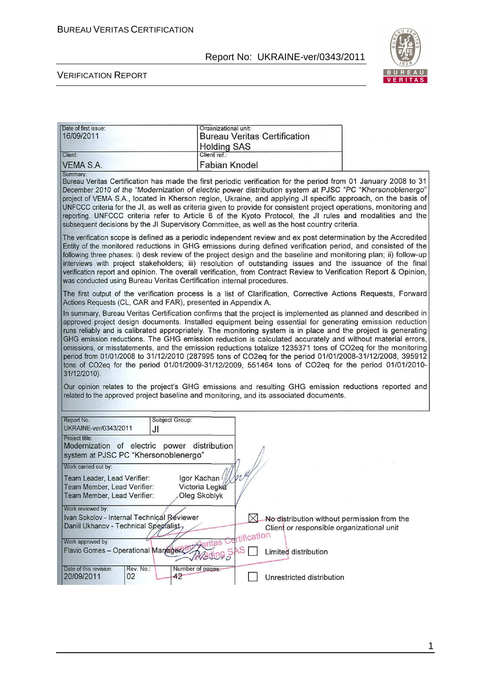

#### VERIFICATION REPORT

| Date of first issue:<br>16/09/2011                                                                                                                                     |                      | Organizational unit:<br><b>Holding SAS</b>            |                  | <b>Bureau Veritas Certification</b> |                                                                                                                                                                                                                                                                                                                                                                                                                                                                                                                                                                                                                                                                                                                                                                                                                                                                                                                                                                                                                    |
|------------------------------------------------------------------------------------------------------------------------------------------------------------------------|----------------------|-------------------------------------------------------|------------------|-------------------------------------|--------------------------------------------------------------------------------------------------------------------------------------------------------------------------------------------------------------------------------------------------------------------------------------------------------------------------------------------------------------------------------------------------------------------------------------------------------------------------------------------------------------------------------------------------------------------------------------------------------------------------------------------------------------------------------------------------------------------------------------------------------------------------------------------------------------------------------------------------------------------------------------------------------------------------------------------------------------------------------------------------------------------|
| Client:<br><b>VEMA S.A.</b>                                                                                                                                            |                      | Client ref.:<br><b>Fabian Knodel</b>                  |                  |                                     |                                                                                                                                                                                                                                                                                                                                                                                                                                                                                                                                                                                                                                                                                                                                                                                                                                                                                                                                                                                                                    |
| Summary:<br>subsequent decisions by the JI Supervisory Committee, as well as the host country criteria.                                                                |                      |                                                       |                  |                                     | Bureau Veritas Certification has made the first periodic verification for the period from 01 January 2008 to 31<br>December 2010 of the "Modernization of electric power distribution system at PJSC "PC "Khersonoblenergo"<br>project of VEMA S.A., located in Kherson region, Ukraine, and applying JI specific approach, on the basis of<br>UNFCCC criteria for the JI, as well as criteria given to provide for consistent project operations, monitoring and<br>reporting. UNFCCC criteria refer to Article 6 of the Kyoto Protocol, the JI rules and modalities and the                                                                                                                                                                                                                                                                                                                                                                                                                                      |
| was conducted using Bureau Veritas Certification internal procedures.                                                                                                  |                      |                                                       |                  |                                     | The verification scope is defined as a periodic independent review and ex post determination by the Accredited<br>Entity of the monitored reductions in GHG emissions during defined verification period, and consisted of the<br>following three phases: i) desk review of the project design and the baseline and monitoring plan; ii) follow-up<br>interviews with project stakeholders; iii) resolution of outstanding issues and the issuance of the final<br>verification report and opinion. The overall verification, from Contract Review to Verification Report & Opinion,                                                                                                                                                                                                                                                                                                                                                                                                                               |
| Actions Requests (CL, CAR and FAR), presented in Appendix A.<br>31/12/2010).<br>related to the approved project baseline and monitoring, and its associated documents. |                      |                                                       |                  |                                     | The first output of the verification process is a list of Clarification, Corrective Actions Requests, Forward<br>In summary, Bureau Veritas Certification confirms that the project is implemented as planned and described in<br>approved project design documents. Installed equipment being essential for generating emission reduction<br>runs reliably and is calibrated appropriately. The monitoring system is in place and the project is generating<br>GHG emission reductions. The GHG emission reduction is calculated accurately and without material errors,<br>omissions, or misstatements, and the emission reductions totalize 1235371 tons of CO2eq for the monitoring<br>period from 01/01/2008 to 31/12/2010 (287995 tons of CO2eq for the period 01/01/2008-31/12/2008, 395912<br>tons of CO2eq for the period 01/01/2009-31/12/2009, 551464 tons of CO2eq for the period 01/01/2010-<br>Our opinion relates to the project's GHG emissions and resulting GHG emission reductions reported and |
| Report No.:<br>UKRAINE-ver/0343/2011<br>Project title:<br>Modernization of electric power distribution<br>system at PJSC PC "Khersonoblenergo"                         | Subject Group:<br>JI |                                                       |                  |                                     |                                                                                                                                                                                                                                                                                                                                                                                                                                                                                                                                                                                                                                                                                                                                                                                                                                                                                                                                                                                                                    |
| Work carried out by:<br>Team Leader, Lead Verifier:<br>Team Member, Lead Verifier:<br>Team Member, Lead Verifier:                                                      |                      | Igor Kachan (///w//<br>Victoria Legka<br>Oleg Skoblyk |                  |                                     |                                                                                                                                                                                                                                                                                                                                                                                                                                                                                                                                                                                                                                                                                                                                                                                                                                                                                                                                                                                                                    |
| Work reviewed by:<br>Ivan Sokolov - Internal Technical Reviewer<br>Daniil Ukhanov - Technical Spegialist<br>Work approved by:<br>Flavio Gomes - Operational Manager    |                      |                                                       | tification<br>١S | Limited distribution                | No distribution without permission from the<br>Client or responsible organizational unit                                                                                                                                                                                                                                                                                                                                                                                                                                                                                                                                                                                                                                                                                                                                                                                                                                                                                                                           |
| Date of this revision:<br>20/09/2011<br>02                                                                                                                             | Rev. No.:<br>42      | Number of pages:                                      |                  | Unrestricted distribution           |                                                                                                                                                                                                                                                                                                                                                                                                                                                                                                                                                                                                                                                                                                                                                                                                                                                                                                                                                                                                                    |

1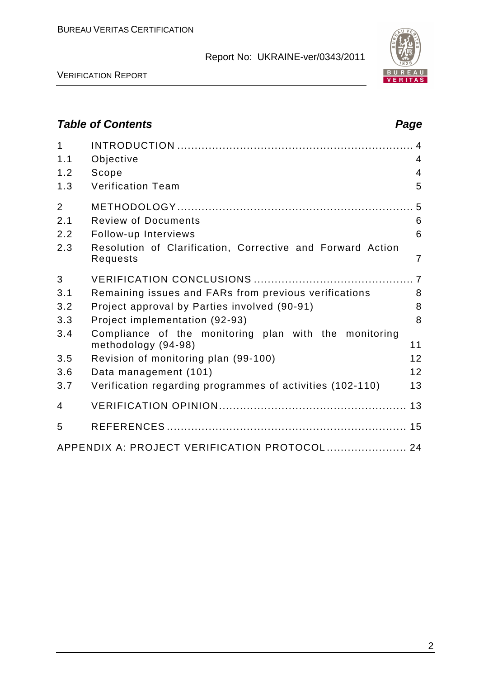

VERIFICATION REPORT

## **Table of Contents Page 2018**

| $\mathbf 1$<br>1.1<br>1.2<br>1.3 | Objective<br>Scope<br><b>Verification Team</b>                               | $\overline{4}$<br>$\overline{4}$<br>5 |
|----------------------------------|------------------------------------------------------------------------------|---------------------------------------|
| $\overline{2}$                   |                                                                              |                                       |
| 2.1                              | <b>Review of Documents</b>                                                   | 6                                     |
| 2.2                              | Follow-up Interviews                                                         | 6                                     |
| 2.3                              | Resolution of Clarification, Corrective and Forward Action<br>Requests       | $\overline{7}$                        |
| 3                                |                                                                              |                                       |
| 3.1                              | Remaining issues and FARs from previous verifications                        | 8                                     |
| 3.2                              | Project approval by Parties involved (90-91)                                 | 8                                     |
| 3.3                              | Project implementation (92-93)                                               | 8                                     |
| 3.4                              | Compliance of the monitoring plan with the monitoring<br>methodology (94-98) | 11                                    |
| 3.5                              | Revision of monitoring plan (99-100)                                         | 12                                    |
| 3.6                              | Data management (101)                                                        | 12                                    |
| 3.7                              | Verification regarding programmes of activities (102-110)                    | 13                                    |
| $\overline{4}$                   |                                                                              |                                       |
| 5                                |                                                                              |                                       |
|                                  | APPENDIX A: PROJECT VERIFICATION PROTOCOL  24                                |                                       |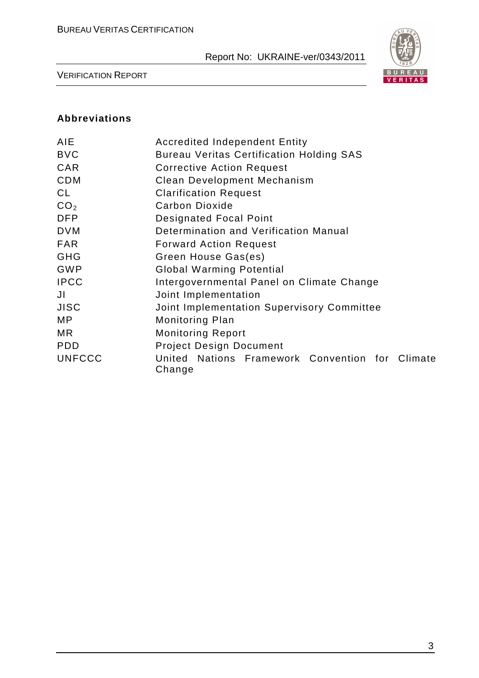

VERIFICATION REPORT

### **Abbreviations**

| AIE             | <b>Accredited Independent Entity</b>                      |  |  |  |  |  |
|-----------------|-----------------------------------------------------------|--|--|--|--|--|
| <b>BVC</b>      | <b>Bureau Veritas Certification Holding SAS</b>           |  |  |  |  |  |
| <b>CAR</b>      | <b>Corrective Action Request</b>                          |  |  |  |  |  |
| <b>CDM</b>      | Clean Development Mechanism                               |  |  |  |  |  |
| CL              | <b>Clarification Request</b>                              |  |  |  |  |  |
| CO <sub>2</sub> | Carbon Dioxide                                            |  |  |  |  |  |
| <b>DFP</b>      | <b>Designated Focal Point</b>                             |  |  |  |  |  |
| <b>DVM</b>      | Determination and Verification Manual                     |  |  |  |  |  |
| <b>FAR</b>      | <b>Forward Action Request</b>                             |  |  |  |  |  |
| <b>GHG</b>      | Green House Gas(es)                                       |  |  |  |  |  |
| <b>GWP</b>      | <b>Global Warming Potential</b>                           |  |  |  |  |  |
| <b>IPCC</b>     | Intergovernmental Panel on Climate Change                 |  |  |  |  |  |
| JI              | Joint Implementation                                      |  |  |  |  |  |
| <b>JISC</b>     | Joint Implementation Supervisory Committee                |  |  |  |  |  |
| MP.             | <b>Monitoring Plan</b>                                    |  |  |  |  |  |
| MR.             | <b>Monitoring Report</b>                                  |  |  |  |  |  |
| <b>PDD</b>      | <b>Project Design Document</b>                            |  |  |  |  |  |
| <b>UNFCCC</b>   | United Nations Framework Convention for Climate<br>Change |  |  |  |  |  |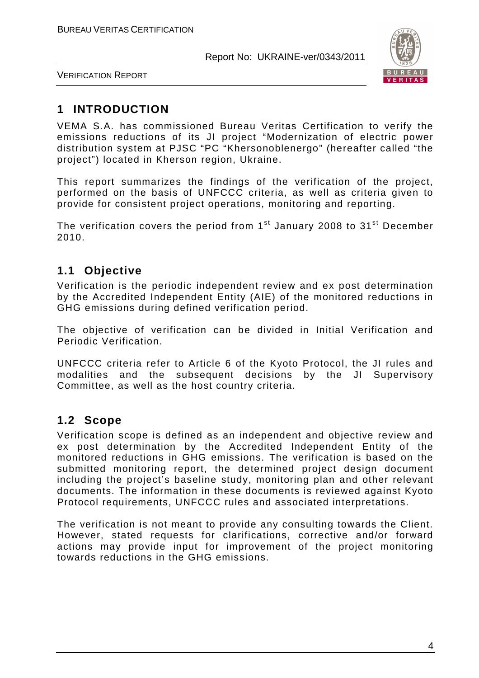

VERIFICATION REPORT

## **1 INTRODUCTION**

VEMA S.A. has commissioned Bureau Veritas Certification to verify the emissions reductions of its JI project "Modernization of electric power distribution system at PJSC "PC "Khersonoblenergo" (hereafter called "the project") located in Kherson region, Ukraine.

This report summarizes the findings of the verification of the project, performed on the basis of UNFCCC criteria, as well as criteria given to provide for consistent project operations, monitoring and reporting.

The verification covers the period from  $1<sup>st</sup>$  January 2008 to  $31<sup>st</sup>$  December 2010.

## **1.1 Objective**

Verification is the periodic independent review and ex post determination by the Accredited Independent Entity (AIE) of the monitored reductions in GHG emissions during defined verification period.

The objective of verification can be divided in Initial Verification and Periodic Verification.

UNFCCC criteria refer to Article 6 of the Kyoto Protocol, the JI rules and modalities and the subsequent decisions by the JI Supervisory Committee, as well as the host country criteria.

## **1.2 Scope**

Verification scope is defined as an independent and objective review and ex post determination by the Accredited Independent Entity of the monitored reductions in GHG emissions. The verification is based on the submitted monitoring report, the determined project design document including the project's baseline study, monitoring plan and other relevant documents. The information in these documents is reviewed against Kyoto Protocol requirements, UNFCCC rules and associated interpretations.

The verification is not meant to provide any consulting towards the Client. However, stated requests for clarifications, corrective and/or forward actions may provide input for improvement of the project monitoring towards reductions in the GHG emissions.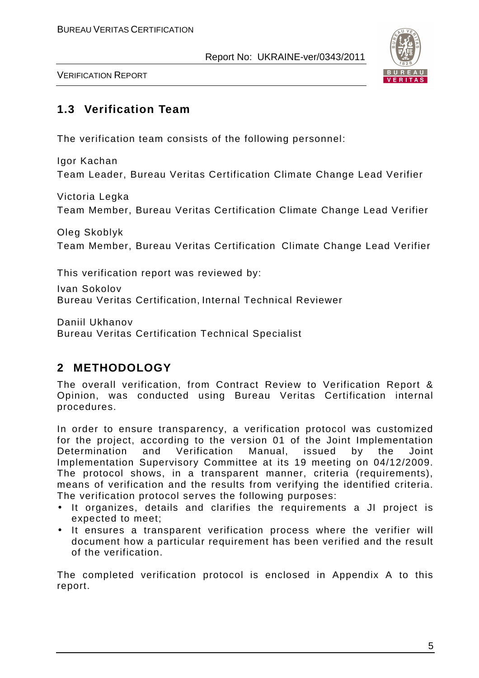

VERIFICATION REPORT

## **1.3 Verification Team**

The verification team consists of the following personnel:

Igor Kachan Team Leader, Bureau Veritas Certification Climate Change Lead Verifier

Victoria Legka Team Member, Bureau Veritas Certification Climate Change Lead Verifier

Oleg Skoblyk Team Member, Bureau Veritas Certification Climate Change Lead Verifier

This verification report was reviewed by:

Ivan Sokolov Bureau Veritas Certification, Internal Technical Reviewer

Daniil Ukhanov Bureau Veritas Certification Technical Specialist

## **2 METHODOLOGY**

The overall verification, from Contract Review to Verification Report & Opinion, was conducted using Bureau Veritas Certification internal procedures.

In order to ensure transparency, a verification protocol was customized for the project, according to the version 01 of the Joint Implementation Determination and Verification Manual, issued by the Joint Implementation Supervisory Committee at its 19 meeting on 04/12/2009. The protocol shows, in a transparent manner, criteria (requirements), means of verification and the results from verifying the identified criteria. The verification protocol serves the following purposes:

- It organizes, details and clarifies the requirements a JI project is expected to meet;
- It ensures a transparent verification process where the verifier will document how a particular requirement has been verified and the result of the verification.

The completed verification protocol is enclosed in Appendix A to this report.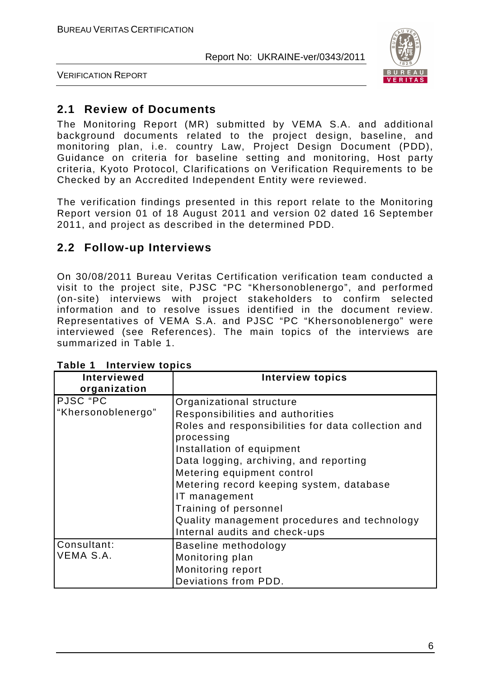

VERIFICATION REPORT

## **2.1 Review of Documents**

The Monitoring Report (MR) submitted by VEMA S.A. and additional background documents related to the project design, baseline, and monitoring plan, i.e. country Law, Project Design Document (PDD), Guidance on criteria for baseline setting and monitoring, Host party criteria, Kyoto Protocol, Clarifications on Verification Requirements to be Checked by an Accredited Independent Entity were reviewed.

The verification findings presented in this report relate to the Monitoring Report version 01 of 18 August 2011 and version 02 dated 16 September 2011, and project as described in the determined PDD.

## **2.2 Follow-up Interviews**

On 30/08/2011 Bureau Veritas Certification verification team conducted a visit to the project site, PJSC "PC "Khersonoblenergo", and performed (on-site) interviews with project stakeholders to confirm selected information and to resolve issues identified in the document review. Representatives of VEMA S.A. and PJSC "PC "Khersonoblenergo" were interviewed (see References). The main topics of the interviews are summarized in Table 1.

| Interviewed        | <b>Interview topics</b>                            |
|--------------------|----------------------------------------------------|
| organization       |                                                    |
| PJSC "PC           | Organizational structure                           |
| "Khersonoblenergo" | Responsibilities and authorities                   |
|                    | Roles and responsibilities for data collection and |
|                    | processing                                         |
|                    | Installation of equipment                          |
|                    | Data logging, archiving, and reporting             |
|                    | Metering equipment control                         |
|                    | Metering record keeping system, database           |
|                    | IT management                                      |
|                    | Training of personnel                              |
|                    | Quality management procedures and technology       |
|                    | Internal audits and check-ups                      |
| Consultant:        | Baseline methodology                               |
| VEMA S.A.          | Monitoring plan                                    |
|                    | Monitoring report                                  |
|                    | Deviations from PDD.                               |

**Table 1 Interview topics**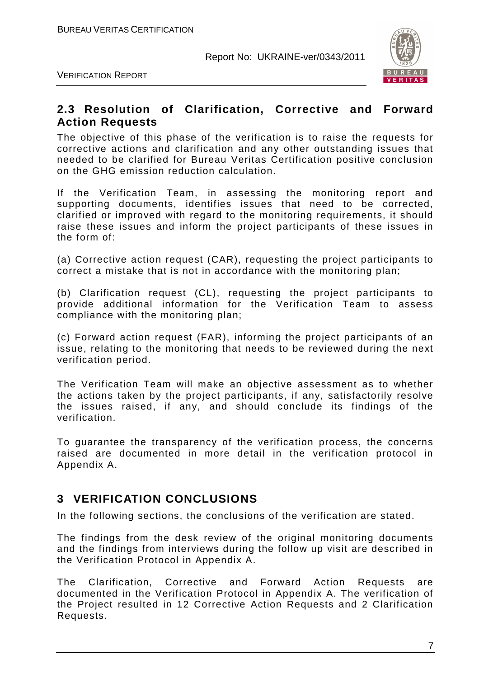

VERIFICATION REPORT

## **2.3 Resolution of Clarification, Corrective and Forward Action Requests**

The objective of this phase of the verification is to raise the requests for corrective actions and clarification and any other outstanding issues that needed to be clarified for Bureau Veritas Certification positive conclusion on the GHG emission reduction calculation.

If the Verification Team, in assessing the monitoring report and supporting documents, identifies issues that need to be corrected, clarified or improved with regard to the monitoring requirements, it should raise these issues and inform the project participants of these issues in the form of:

(a) Corrective action request (CAR), requesting the project participants to correct a mistake that is not in accordance with the monitoring plan;

(b) Clarification request (CL), requesting the project participants to provide additional information for the Verification Team to assess compliance with the monitoring plan;

(c) Forward action request (FAR), informing the project participants of an issue, relating to the monitoring that needs to be reviewed during the next verification period.

The Verification Team will make an objective assessment as to whether the actions taken by the project participants, if any, satisfactorily resolve the issues raised, if any, and should conclude its findings of the verification.

To guarantee the transparency of the verification process, the concerns raised are documented in more detail in the verification protocol in Appendix A.

## **3 VERIFICATION CONCLUSIONS**

In the following sections, the conclusions of the verification are stated.

The findings from the desk review of the original monitoring documents and the findings from interviews during the follow up visit are described in the Verification Protocol in Appendix A.

The Clarification, Corrective and Forward Action Requests are documented in the Verification Protocol in Appendix A. The verification of the Project resulted in 12 Corrective Action Requests and 2 Clarification Requests.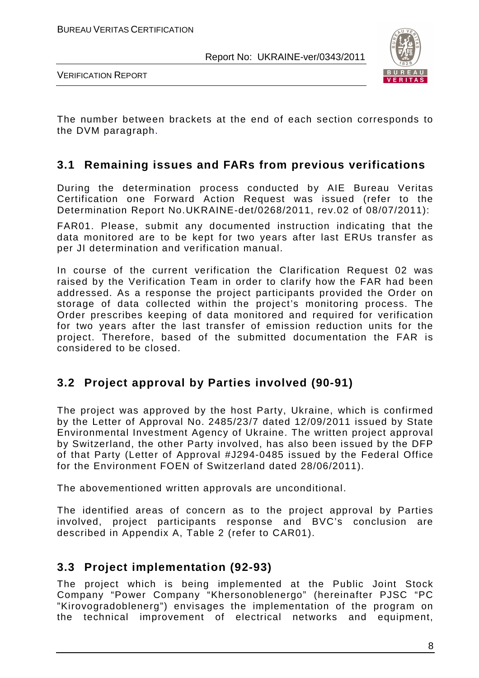

VERIFICATION REPORT

The number between brackets at the end of each section corresponds to the DVM paragraph.

## **3.1 Remaining issues and FARs from previous verifications**

During the determination process conducted by AIE Bureau Veritas Certification one Forward Action Request was issued (refer to the Determination Report No.UKRAINE-det/0268/2011, rev.02 of 08/07/2011):

FAR01. Please, submit any documented instruction indicating that the data monitored are to be kept for two years after last ERUs transfer as per JI determination and verification manual.

In course of the current verification the Clarification Request 02 was raised by the Verification Team in order to clarify how the FAR had been addressed. As a response the project participants provided the Order on storage of data collected within the project's monitoring process. The Order prescribes keeping of data monitored and required for verification for two years after the last transfer of emission reduction units for the project. Therefore, based of the submitted documentation the FAR is considered to be closed.

## **3.2 Project approval by Parties involved (90-91)**

The project was approved by the host Party, Ukraine, which is confirmed by the Letter of Approval No. 2485/23/7 dated 12/09/2011 issued by State Environmental Investment Agency of Ukraine. The written project approval by Switzerland, the other Party involved, has also been issued by the DFP of that Party (Letter of Approval #J294-0485 issued by the Federal Office for the Environment FOEN of Switzerland dated 28/06/2011).

The abovementioned written approvals are unconditional.

The identified areas of concern as to the project approval by Parties involved, project participants response and BVC's conclusion are described in Appendix A, Table 2 (refer to CAR01).

## **3.3 Project implementation (92-93)**

The project which is being implemented at the Public Joint Stock Company "Power Company "Khersonoblenergo" (hereinafter PJSC "PC "Kirovogradoblenerg") envisages the implementation of the program on the technical improvement of electrical networks and equipment,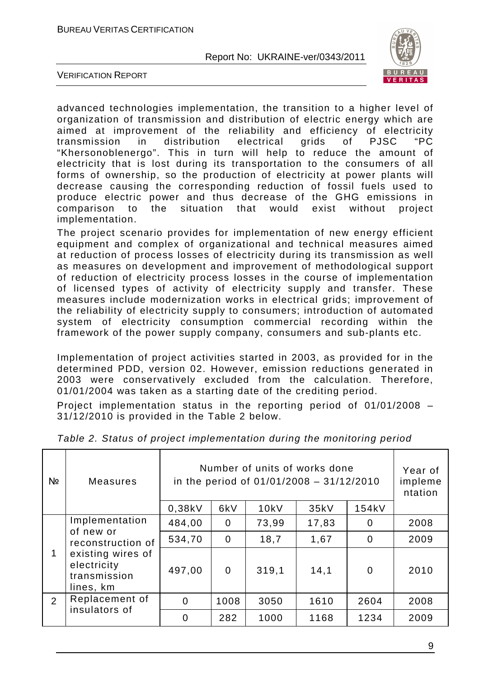

VERIFICATION REPORT

advanced technologies implementation, the transition to a higher level of organization of transmission and distribution of electric energy which are aimed at improvement of the reliability and efficiency of electricity transmission in distribution electrical grids of PJSC "PC "Khersonoblenergo". This in turn will help to reduce the amount of electricity that is lost during its transportation to the consumers of all forms of ownership, so the production of electricity at power plants will decrease causing the corresponding reduction of fossil fuels used to produce electric power and thus decrease of the GHG emissions in comparison to the situation that would exist without project implementation.

The project scenario provides for implementation of new energy efficient equipment and complex of organizational and technical measures aimed at reduction of process losses of electricity during its transmission as well as measures on development and improvement of methodological support of reduction of electricity process losses in the course of implementation of licensed types of activity of electricity supply and transfer. These measures include modernization works in electrical grids; improvement of the reliability of electricity supply to consumers; introduction of automated system of electricity consumption commercial recording within the framework of the power supply company, consumers and sub-plants etc.

Implementation of project activities started in 2003, as provided for in the determined PDD, version 02. However, emission reductions generated in 2003 were conservatively excluded from the calculation. Therefore, 01/01/2004 was taken as a starting date of the crediting period.

Project implementation status in the reporting period of 01/01/2008 – 31/12/2010 is provided in the Table 2 below.

| Nº             | <b>Measures</b>                                                                                 | Number of units of works done<br>in the period of $01/01/2008 - 31/12/2010$ | Year of<br>impleme<br>ntation |       |       |                |      |
|----------------|-------------------------------------------------------------------------------------------------|-----------------------------------------------------------------------------|-------------------------------|-------|-------|----------------|------|
|                |                                                                                                 | 0,38kV                                                                      | 6kV                           | 10kV  | 35kV  | 154kV          |      |
|                | Implementation                                                                                  | 484,00                                                                      | 0                             | 73,99 | 17,83 | $\overline{0}$ | 2008 |
| 1              | of new or<br>reconstruction of<br>existing wires of<br>electricity<br>transmission<br>lines, km | 534,70                                                                      | $\overline{0}$                | 18,7  | 1,67  | $\overline{0}$ | 2009 |
|                |                                                                                                 | 497,00                                                                      | $\mathbf 0$                   | 319,1 | 14,1  | $\overline{0}$ | 2010 |
| $\overline{2}$ | Replacement of                                                                                  | $\overline{0}$                                                              | 1008                          | 3050  | 1610  | 2604           | 2008 |
|                | insulators of                                                                                   | $\overline{0}$                                                              | 282                           | 1000  | 1168  | 1234           | 2009 |

Table 2. Status of project implementation during the monitoring period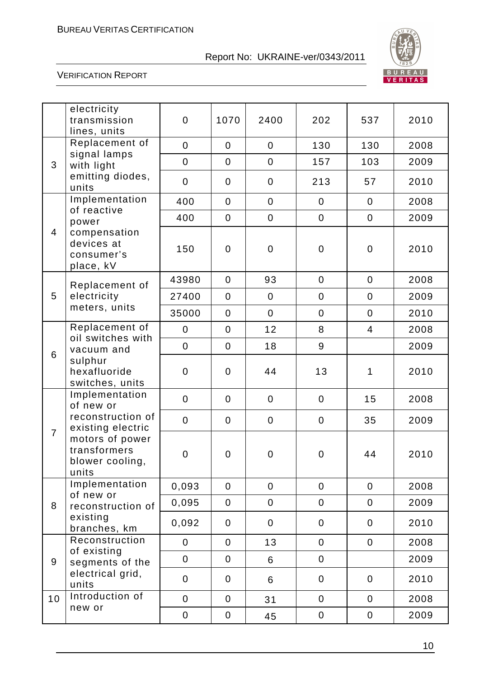

|                | electricity<br>transmission<br>lines, units                 | $\mathbf 0$      | 1070           | 2400             | 202              | 537            | 2010 |
|----------------|-------------------------------------------------------------|------------------|----------------|------------------|------------------|----------------|------|
|                | Replacement of                                              | $\mathbf 0$      | $\mathbf 0$    | $\mathbf 0$      | 130              | 130            | 2008 |
| 3              | signal lamps<br>with light                                  | $\mathbf 0$      | $\overline{0}$ | $\boldsymbol{0}$ | 157              | 103            | 2009 |
|                | emitting diodes,<br>units                                   | $\mathbf 0$      | $\overline{0}$ | $\mathbf 0$      | 213              | 57             | 2010 |
|                | Implementation<br>of reactive                               | 400              | $\mathbf 0$    | $\overline{0}$   | $\mathbf 0$      | $\overline{0}$ | 2008 |
|                | power                                                       | 400              | $\mathbf 0$    | $\overline{0}$   | $\mathbf 0$      | $\overline{0}$ | 2009 |
| $\overline{4}$ | compensation<br>devices at<br>consumer's<br>place, kV       | 150              | $\overline{0}$ | $\pmb{0}$        | $\boldsymbol{0}$ | $\mathbf 0$    | 2010 |
|                | Replacement of                                              | 43980            | $\mathbf 0$    | 93               | $\mathbf 0$      | $\mathbf 0$    | 2008 |
| 5              | electricity                                                 | 27400            | $\overline{0}$ | $\overline{0}$   | $\mathbf 0$      | $\mathbf 0$    | 2009 |
|                | meters, units                                               | 35000            | $\overline{0}$ | $\overline{0}$   | $\mathbf 0$      | $\mathbf 0$    | 2010 |
|                | Replacement of                                              | $\mathbf 0$      | $\overline{0}$ | 12               | 8                | $\overline{4}$ | 2008 |
| 6              | oil switches with<br>vacuum and                             | $\boldsymbol{0}$ | $\overline{0}$ | 18               | 9                |                | 2009 |
|                | sulphur<br>hexafluoride<br>switches, units                  | $\mathbf 0$      | $\overline{0}$ | 44               | 13               | 1              | 2010 |
|                | Implementation<br>of new or                                 | $\mathbf 0$      | $\overline{0}$ | $\mathbf 0$      | $\mathbf 0$      | 15             | 2008 |
|                | reconstruction of<br>existing electric                      | $\mathbf 0$      | $\mathbf 0$    | $\mathbf 0$      | $\mathbf 0$      | 35             | 2009 |
| $\overline{7}$ | motors of power<br>transformers<br>blower cooling,<br>units | $\mathbf 0$      | $\mathbf 0$    | $\mathbf 0$      | $\mathbf 0$      | 44             | 2010 |
|                | Implementation<br>of new or                                 | 0,093            | $\mathbf 0$    | $\overline{0}$   | $\overline{0}$   | $\overline{0}$ | 2008 |
| 8              | reconstruction of                                           | 0,095            | $\mathbf 0$    | $\mathbf 0$      | $\overline{0}$   | $\overline{0}$ | 2009 |
|                | existing<br>branches, km                                    | 0,092            | $\mathbf 0$    | $\mathbf 0$      | $\overline{0}$   | $\overline{0}$ | 2010 |
|                | Reconstruction                                              | $\overline{0}$   | $\overline{0}$ | 13               | $\overline{0}$   | $\mathbf 0$    | 2008 |
| 9              | of existing<br>segments of the                              | $\boldsymbol{0}$ | $\mathbf 0$    | 6                | $\boldsymbol{0}$ |                | 2009 |
|                | electrical grid,<br>units                                   | $\boldsymbol{0}$ | $\mathbf 0$    | 6                | $\mathbf 0$      | $\overline{0}$ | 2010 |
| 10             | Introduction of                                             | $\mathbf 0$      | $\mathbf 0$    | 31               | $\mathbf 0$      | $\mathbf 0$    | 2008 |
|                | new or                                                      | $\pmb{0}$        | 0              | 45               | $\pmb{0}$        | $\pmb{0}$      | 2009 |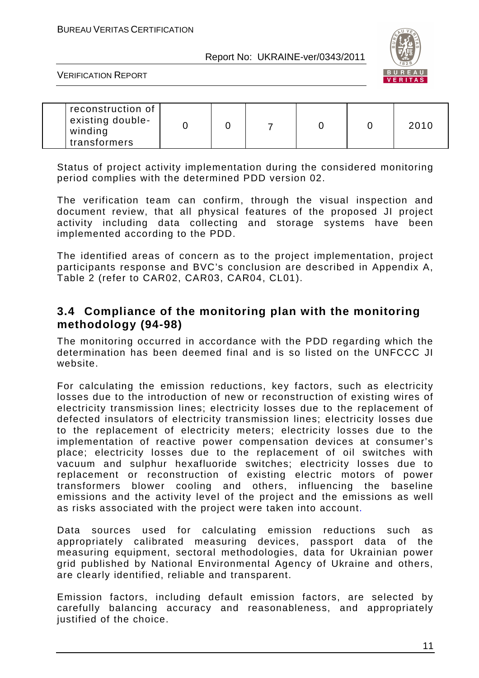

VERIFICATION REPORT

| reconstruction of<br>existing double-<br>winding<br>transformers |  |  |  |  |  | 2010 |
|------------------------------------------------------------------|--|--|--|--|--|------|
|------------------------------------------------------------------|--|--|--|--|--|------|

Status of project activity implementation during the considered monitoring period complies with the determined PDD version 02.

The verification team can confirm, through the visual inspection and document review, that all physical features of the proposed JI project activity including data collecting and storage systems have been implemented according to the PDD.

The identified areas of concern as to the project implementation, project participants response and BVC's conclusion are described in Appendix A, Table 2 (refer to CAR02, CAR03, CAR04, CL01).

### **3.4 Compliance of the monitoring plan with the monitoring methodology (94-98)**

The monitoring occurred in accordance with the PDD regarding which the determination has been deemed final and is so listed on the UNFCCC JI website.

For calculating the emission reductions, key factors, such as electricity losses due to the introduction of new or reconstruction of existing wires of electricity transmission lines; electricity losses due to the replacement of defected insulators of electricity transmission lines; electricity losses due to the replacement of electricity meters; electricity losses due to the implementation of reactive power compensation devices at consumer's place; electricity losses due to the replacement of oil switches with vacuum and sulphur hexafluoride switches; electricity losses due to replacement or reconstruction of existing electric motors of power transformers blower cooling and others, influencing the baseline emissions and the activity level of the project and the emissions as well as risks associated with the project were taken into account.

Data sources used for calculating emission reductions such as appropriately calibrated measuring devices, passport data of the measuring equipment, sectoral methodologies, data for Ukrainian power grid published by National Environmental Agency of Ukraine and others, are clearly identified, reliable and transparent.

Emission factors, including default emission factors, are selected by carefully balancing accuracy and reasonableness, and appropriately justified of the choice.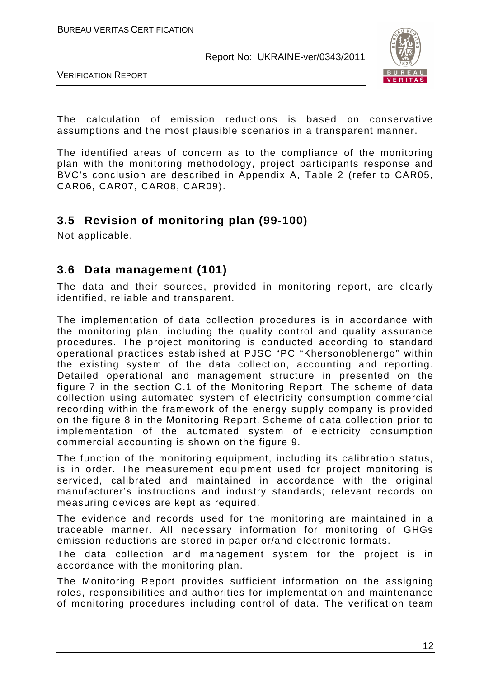

VERIFICATION REPORT

The calculation of emission reductions is based on conservative assumptions and the most plausible scenarios in a transparent manner.

The identified areas of concern as to the compliance of the monitoring plan with the monitoring methodology, project participants response and BVC's conclusion are described in Appendix A, Table 2 (refer to CAR05, CAR06, CAR07, CAR08, CAR09).

## **3.5 Revision of monitoring plan (99-100)**

Not applicable.

## **3.6 Data management (101)**

The data and their sources, provided in monitoring report, are clearly identified, reliable and transparent.

The implementation of data collection procedures is in accordance with the monitoring plan, including the quality control and quality assurance procedures. The project monitoring is conducted according to standard operational practices established at PJSC "PC "Khersonoblenergo" within the existing system of the data collection, accounting and reporting. Detailed operational and management structure in presented on the figure 7 in the section C.1 of the Monitoring Report. The scheme of data collection using automated system of electricity consumption commercial recording within the framework of the energy supply company is provided on the figure 8 in the Monitoring Report. Scheme of data collection prior to implementation of the automated system of electricity consumption commercial accounting is shown on the figure 9.

The function of the monitoring equipment, including its calibration status, is in order. The measurement equipment used for project monitoring is serviced, calibrated and maintained in accordance with the original manufacturer's instructions and industry standards; relevant records on measuring devices are kept as required.

The evidence and records used for the monitoring are maintained in a traceable manner. All necessary information for monitoring of GHGs emission reductions are stored in paper or/and electronic formats.

The data collection and management system for the project is in accordance with the monitoring plan.

The Monitoring Report provides sufficient information on the assigning roles, responsibilities and authorities for implementation and maintenance of monitoring procedures including control of data. The verification team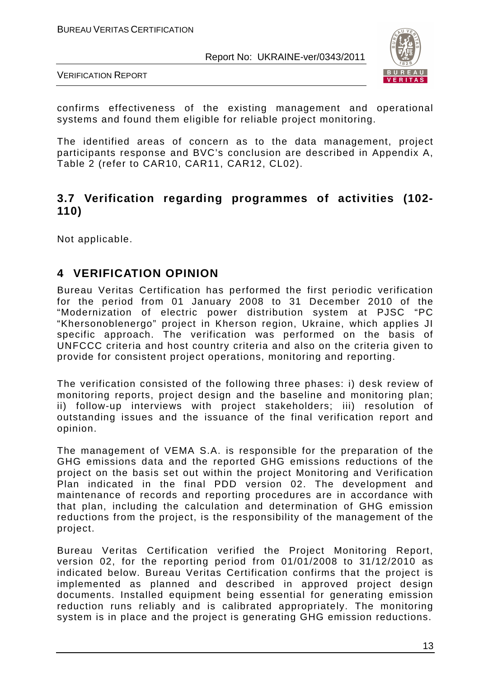

VERIFICATION REPORT

confirms effectiveness of the existing management and operational systems and found them eligible for reliable project monitoring.

The identified areas of concern as to the data management, project participants response and BVC's conclusion are described in Appendix A, Table 2 (refer to CAR10, CAR11, CAR12, CL02).

## **3.7 Verification regarding programmes of activities (102- 110)**

Not applicable.

## **4 VERIFICATION OPINION**

Bureau Veritas Certification has performed the first periodic verification for the period from 01 January 2008 to 31 December 2010 of the "Modernization of electric power distribution system at PJSC "PC "Khersonoblenergo" project in Kherson region, Ukraine, which applies JI specific approach. The verification was performed on the basis of UNFCCC criteria and host country criteria and also on the criteria given to provide for consistent project operations, monitoring and reporting.

The verification consisted of the following three phases: i) desk review of monitoring reports, project design and the baseline and monitoring plan; ii) follow-up interviews with project stakeholders; iii) resolution of outstanding issues and the issuance of the final verification report and opinion.

The management of VEMA S.A. is responsible for the preparation of the GHG emissions data and the reported GHG emissions reductions of the project on the basis set out within the project Monitoring and Verification Plan indicated in the final PDD version 02. The development and maintenance of records and reporting procedures are in accordance with that plan, including the calculation and determination of GHG emission reductions from the project, is the responsibility of the management of the project.

Bureau Veritas Certification verified the Project Monitoring Report, version 02, for the reporting period from 01/01/2008 to 31/12/2010 as indicated below. Bureau Veritas Certification confirms that the project is implemented as planned and described in approved project design documents. Installed equipment being essential for generating emission reduction runs reliably and is calibrated appropriately. The monitoring system is in place and the project is generating GHG emission reductions.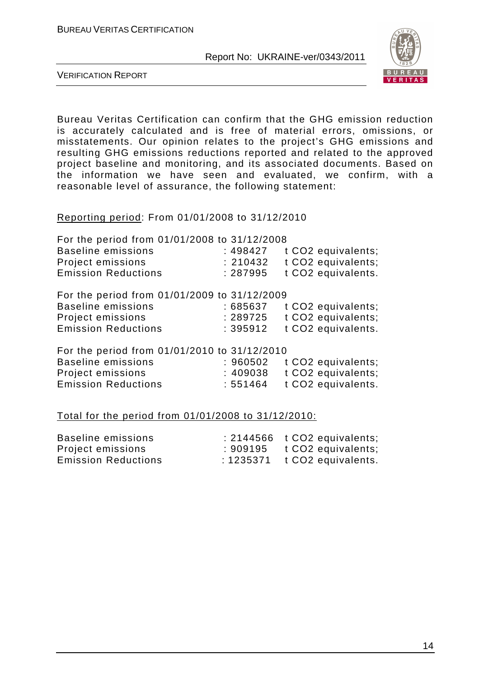

VERIFICATION REPORT

Bureau Veritas Certification can confirm that the GHG emission reduction is accurately calculated and is free of material errors, omissions, or misstatements. Our opinion relates to the project's GHG emissions and resulting GHG emissions reductions reported and related to the approved project baseline and monitoring, and its associated documents. Based on the information we have seen and evaluated, we confirm, with a reasonable level of assurance, the following statement:

Reporting period: From 01/01/2008 to 31/12/2010

| For the period from 01/01/2008 to 31/12/2008 |          |                    |
|----------------------------------------------|----------|--------------------|
| <b>Baseline emissions</b>                    | :498427  | t CO2 equivalents; |
| Project emissions                            | : 210432 | t CO2 equivalents; |
| <b>Emission Reductions</b>                   | : 287995 | t CO2 equivalents. |
| For the period from 01/01/2009 to 31/12/2009 |          |                    |
| <b>Baseline emissions</b>                    | : 685637 | t CO2 equivalents; |
| <b>Project emissions</b>                     | : 289725 | t CO2 equivalents; |
| <b>Emission Reductions</b>                   | : 395912 | t CO2 equivalents. |
| For the period from 01/01/2010 to 31/12/2010 |          |                    |
| <b>Baseline emissions</b>                    | : 960502 | t CO2 equivalents; |
| Project emissions                            | :409038  | t CO2 equivalents; |
| <b>Emission Reductions</b>                   | : 551464 | t CO2 equivalents. |
|                                              |          |                    |

Total for the period from 01/01/2008 to 31/12/2010:

| Baseline emissions         |         | $: 2144566$ t CO2 equivalents; |
|----------------------------|---------|--------------------------------|
| Project emissions          | :909195 | t CO2 equivalents;             |
| <b>Emission Reductions</b> |         | $: 1235371$ t CO2 equivalents. |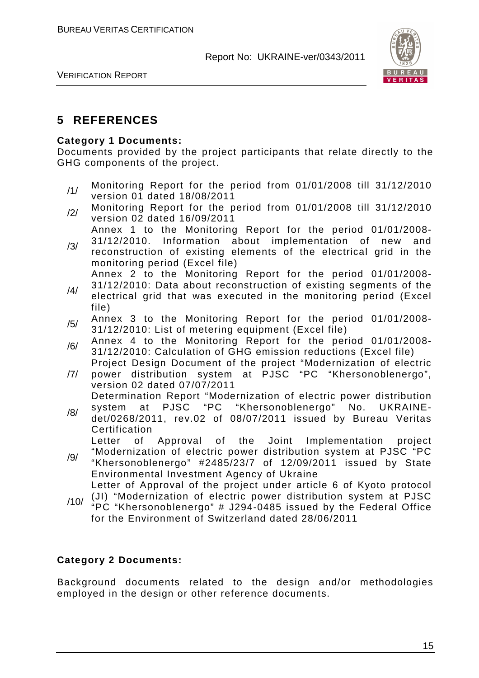

VERIFICATION REPORT

## **5 REFERENCES**

#### **Category 1 Documents:**

Documents provided by the project participants that relate directly to the GHG components of the project.

- /1/ Monitoring Report for the period from 01/01/2008 till 31/12/2010 version 01 dated 18/08/2011
- /2/ Monitoring Report for the period from 01/01/2008 till 31/12/2010 version 02 dated 16/09/2011
- /3/ Annex 1 to the Monitoring Report for the period 01/01/2008- 31/12/2010. Information about implementation of new and reconstruction of existing elements of the electrical grid in the monitoring period (Excel file)

Annex 2 to the Monitoring Report for the period 01/01/2008-

- /4/ 31/12/2010: Data about reconstruction of existing segments of the electrical grid that was executed in the monitoring period (Excel file)
- /5/ Annex 3 to the Monitoring Report for the period 01/01/2008-31/12/2010: List of metering equipment (Excel file)
- /6/ Annex 4 to the Monitoring Report for the period 01/01/2008- 31/12/2010: Calculation of GHG emission reductions (Excel file)
- /7/ Project Design Document of the project "Modernization of electric power distribution system at PJSC "PC "Khersonoblenergo", version 02 dated 07/07/2011

Determination Report "Modernization of electric power distribution system at PJSC "PC "Khersonoblenergo" No. UKRAINE-

/8/ det/0268/2011, rev.02 of 08/07/2011 issued by Bureau Veritas Certification

Letter of Approval of the Joint Implementation project

- /9/ "Modernization of electric power distribution system at PJSC "PC "Khersonoblenergo" #2485/23/7 of 12/09/2011 issued by State Environmental Investment Agency of Ukraine Letter of Approval of the project under article 6 of Kyoto protocol
	- (JI) "Modernization of electric power distribution system at PJSC
- /10/ "PC "Khersonoblenergo" # J294-0485 issued by the Federal Office for the Environment of Switzerland dated 28/06/2011

#### **Category 2 Documents:**

Background documents related to the design and/or methodologies employed in the design or other reference documents.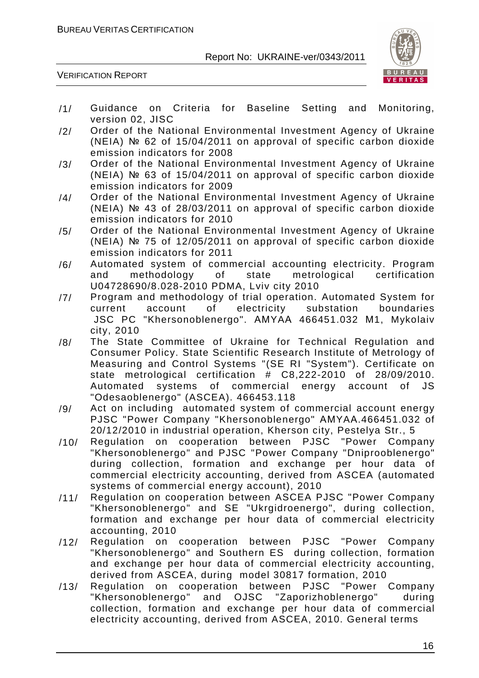

- /1/ Guidance on Criteria for Baseline Setting and Monitoring, version 02, JISC
- /2/ Order of the National Environmental Investment Agency of Ukraine (NEIA) № 62 of 15/04/2011 on approval of specific carbon dioxide emission indicators for 2008
- /3/ Order of the National Environmental Investment Agency of Ukraine (NEIA) № 63 of 15/04/2011 on approval of specific carbon dioxide emission indicators for 2009
- /4/ Order of the National Environmental Investment Agency of Ukraine (NEIA) № 43 of 28/03/2011 on approval of specific carbon dioxide emission indicators for 2010
- /5/ Order of the National Environmental Investment Agency of Ukraine (NEIA) № 75 of 12/05/2011 on approval of specific carbon dioxide emission indicators for 2011
- /6/ Automated system of commercial accounting electricity. Program<br>and methodology of state metrological certification and methodology of state metrological U04728690/8.028-2010 PDMA, Lviv city 2010
- /7/ Program and methodology of trial operation. Automated System for<br>current account of electricity substation boundaries current account of electricity substation boundaries JSC PC "Khersonoblenergo". АМYAА 466451.032 М1, Mykolaiv city, 2010
- /8/ The State Committee of Ukraine for Technical Regulation and Consumer Policy. State Scientific Research Institute of Metrology of Measuring and Control Systems "(SE RI "System"). Certificate on state metrological certification # C8,222-2010 of 28/09/2010. Automated systems of commercial energy account of JS "Odesaoblenergo" (ASCEA). 466453.118
- /9/ Act on including automated system of commercial account energy PJSC "Power Company "Khersonoblenergo" АМYAА.466451.032 of 20/12/2010 in industrial operation, Kherson city, Pestelya Str., 5
- /10/ Regulation on cooperation between PJSC "Power Company "Khersonoblenergo" and PJSC "Power Company "Dniprooblenergo" during collection, formation and exchange per hour data of commercial electricity accounting, derived from ASCEA (automated systems of commercial energy account), 2010
- /11/ Regulation on cooperation between ASCEA PJSC "Power Company "Khersonoblenergo" and SE "Ukrgidroenergo", during collection, formation and exchange per hour data of commercial electricity accounting, 2010
- /12/ Regulation on cooperation between PJSC "Power Company "Khersonoblenergo" and Southern ES during collection, formation and exchange per hour data of commercial electricity accounting, derived from ASCEA, during model 30817 formation, 2010
- /13/ Regulation on cooperation between PJSC "Power Company<br>"Khersonoblenergo" and OJSC "Zaporizhoblenergo" during "Khersonoblenergo" and OJSC "Zaporizhoblenergo" during collection, formation and exchange per hour data of commercial electricity accounting, derived from ASCEA, 2010. General terms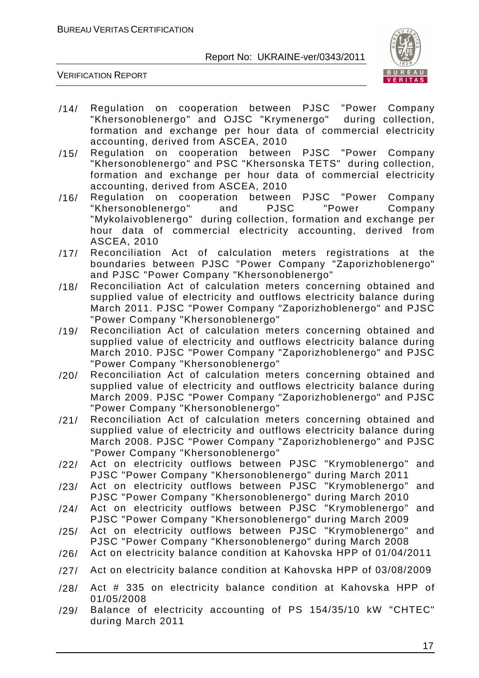

- /14/ Regulation on cooperation between PJSC "Power Company "Khersonoblenergo" and OJSC "Krymenergo" formation and exchange per hour data of commercial electricity accounting, derived from ASCEA, 2010
- /15/ Regulation on cooperation between PJSC "Power Company "Khersonoblenergo" and PSC "Khersonska TETS" during collection, formation and exchange per hour data of commercial electricity accounting, derived from ASCEA, 2010
- /16/ Regulation on cooperation between PJSC "Power Company "Khersonoblenergo" and PJSC "Power Company "Mykolaivoblenergo" during collection, formation and exchange per hour data of commercial electricity accounting, derived from ASCEA, 2010
- /17/ Reconciliation Act of calculation meters registrations at the boundaries between PJSC "Power Company "Zaporizhoblenergo" and PJSC "Power Company "Khersonoblenergo"
- /18/ Reconciliation Act of calculation meters concerning obtained and supplied value of electricity and outflows electricity balance during March 2011. PJSC "Power Company "Zaporizhoblenergo" and PJSC "Power Company "Khersonoblenergo"
- /19/ Reconciliation Act of calculation meters concerning obtained and supplied value of electricity and outflows electricity balance during March 2010. PJSC "Power Company "Zaporizhoblenergo" and PJSC "Power Company "Khersonoblenergo"
- /20/ Reconciliation Act of calculation meters concerning obtained and supplied value of electricity and outflows electricity balance during March 2009. PJSC "Power Company "Zaporizhoblenergo" and PJSC "Power Company "Khersonoblenergo"
- /21/ Reconciliation Act of calculation meters concerning obtained and supplied value of electricity and outflows electricity balance during March 2008. PJSC "Power Company "Zaporizhoblenergo" and PJSC "Power Company "Khersonoblenergo"
- /22/ Act on electricity outflows between PJSC "Krymoblenergo" and PJSC "Power Company "Khersonoblenergo" during March 2011
- /23/ Act on electricity outflows between PJSC "Krymoblenergo" and PJSC "Power Company "Khersonoblenergo" during March 2010
- /24/ Act on electricity outflows between PJSC "Krymoblenergo" and PJSC "Power Company "Khersonoblenergo" during March 2009
- /25/ Act on electricity outflows between PJSC "Krymoblenergo" and PJSC "Power Company "Khersonoblenergo" during March 2008
- /26/ Act on electricity balance condition at Kahovska HPP of 01/04/2011
- /27/ Act on electricity balance condition at Kahovska HPP of 03/08/2009
- /28/ Act # 335 on electricity balance condition at Kahovska HPP of 01/05/2008
- /29/ Balance of electricity accounting of PS 154/35/10 kW "CHTEC" during March 2011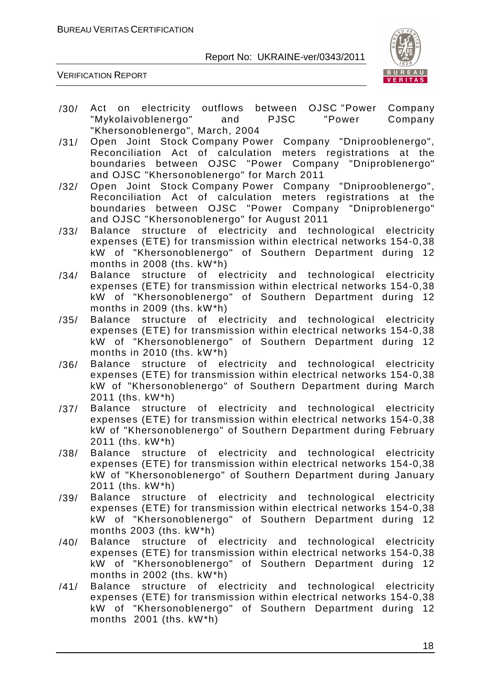

- /30/ Act on electricity outflows between OJSC "Power Company<br>"Mykolaivoblenergo" and PJSC "Power Company" "Mykolaivoblenergo" and "Khersonoblenergo", March, 2004
- /31/ Open Joint Stock Company Power Company "Dniprooblenergo", Reconciliation Act of calculation meters registrations at the boundaries between OJSC "Power Company "Dniproblenergo" and OJSC "Khersonoblenergo" for March 2011
- /32/ Open Joint Stock Company Power Company "Dniprooblenergo", Reconciliation Act of calculation meters registrations at the boundaries between OJSC "Power Company "Dniproblenergo" and OJSC "Khersonoblenergo" for August 2011
- /33/ Balance structure of electricity and technological electricity expenses (ETE) for transmission within electrical networks 154-0,38 kW of "Khersonoblenergo" of Southern Department during 12 months in 2008 (ths. kW\*h)
- /34/ Balance structure of electricity and technological electricity expenses (ETE) for transmission within electrical networks 154-0,38 kW of "Khersonoblenergo" of Southern Department during 12 months in 2009 (ths. kW\*h)
- /35/ Balance structure of electricity and technological electricity expenses (ETE) for transmission within electrical networks 154-0,38 kW of "Khersonoblenergo" of Southern Department during 12 months in 2010 (ths. kW\*h)
- /36/ Balance structure of electricity and technological electricity expenses (ETE) for transmission within electrical networks 154-0,38 kW of "Khersonoblenergo" of Southern Department during March 2011 (ths. kW\*h)
- /37/ Balance structure of electricity and technological electricity expenses (ETE) for transmission within electrical networks 154-0,38 kW of "Khersonoblenergo" of Southern Department during February 2011 (ths. kW\*h)
- /38/ Balance structure of electricity and technological electricity expenses (ETE) for transmission within electrical networks 154-0,38 kW of "Khersonoblenergo" of Southern Department during January 2011 (ths. kW\*h)
- /39/ Balance structure of electricity and technological electricity expenses (ETE) for transmission within electrical networks 154-0,38 kW of "Khersonoblenergo" of Southern Department during 12 months 2003 (ths. kW\*h)
- /40/ Balance structure of electricity and technological electricity expenses (ETE) for transmission within electrical networks 154-0,38 kW of "Khersonoblenergo" of Southern Department during 12 months in 2002 (ths. kW\*h)
- /41/ Balance structure of electricity and technological electricity expenses (ETE) for transmission within electrical networks 154-0,38 kW of "Khersonoblenergo" of Southern Department during 12 months 2001 (ths. kW\*h)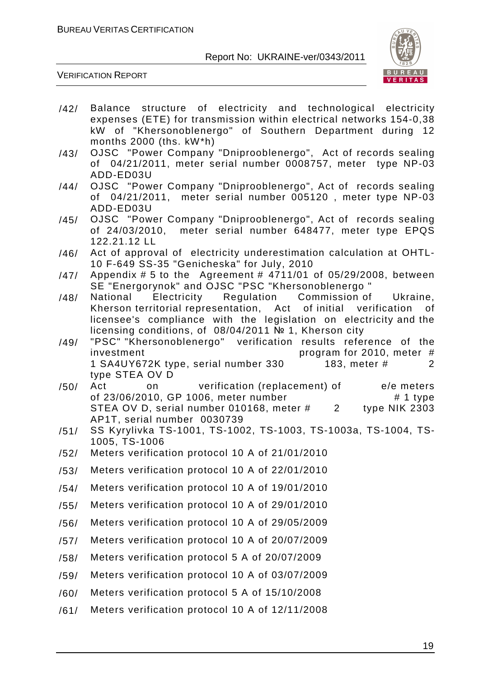

- /42/ Balance structure of electricity and technological electricity expenses (ETE) for transmission within electrical networks 154-0,38 kW of "Khersonoblenergo" of Southern Department during 12 months 2000 (ths. kW\*h)
- /43/ OJSC "Power Company "Dniprooblenergo", Act of records sealing of 04/21/2011, meter serial number 0008757, meter type NP-03 ADD-ED03U
- /44/ OJSC "Power Company "Dniprooblenergo", Act of records sealing of 04/21/2011, meter serial number 005120 , meter type NP-03 ADD-ED03U
- /45/ OJSC "Power Company "Dniprooblenergo", Act of records sealing of 24/03/2010, meter serial number 648477, meter type EPQS 122.21.12 LL
- /46/ Act of approval of electricity underestimation calculation at OHTL-10 F-649 SS-35 "Genicheska" for July, 2010
- /47/ Appendix # 5 to the Agreement # 4711/01 of 05/29/2008, between SE "Energorynok" and OJSC "PSC "Khersonoblenergo "
- /48/ National Electricity Regulation Commission of Ukraine, Kherson territorial representation, Act of initial verification of licensee's compliance with the legislation on electricity and the licensing conditions, of 08/04/2011 № 1, Kherson city
- /49/ "PSC" "Khersonoblenergo" verification results reference of the investment program for 2010, meter # 1 SA4UY672K type, serial number 330 183, meter # 2 type STEA OV D
- /50/ Act on verification (replacement) of e/e meters of 23/06/2010, GP 1006, meter number  $\#$  1 type STEA OV D, serial number 010168, meter # 2 type NIK 2303 AP1T, serial number 0030739
- /51/ SS Kyrylivka TS-1001, TS-1002, TS-1003, TS-1003a, TS-1004, TS-1005, TS-1006
- /52/ Meters verification protocol 10 A of 21/01/2010
- /53/ Meters verification protocol 10 A of 22/01/2010
- /54/ Meters verification protocol 10 A of 19/01/2010
- /55/ Meters verification protocol 10 A of 29/01/2010
- /56/ Meters verification protocol 10 A of 29/05/2009
- /57/ Meters verification protocol 10 A of 20/07/2009
- /58/ Meters verification protocol 5 A of 20/07/2009
- /59/ Meters verification protocol 10 A of 03/07/2009
- /60/ Meters verification protocol 5 A of 15/10/2008
- /61/ Meters verification protocol 10 A of 12/11/2008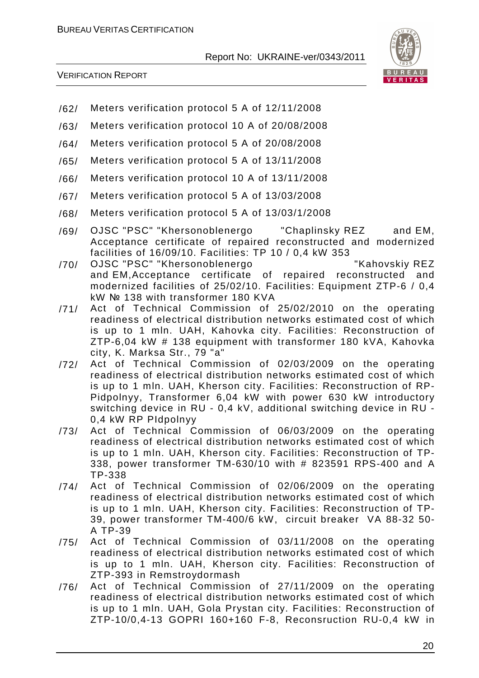

- /62/ Meters verification protocol 5 A of 12/11/2008
- /63/ Meters verification protocol 10 A of 20/08/2008
- /64/ Meters verification protocol 5 A of 20/08/2008
- /65/ Meters verification protocol 5 A of 13/11/2008
- /66/ Meters verification protocol 10 A of 13/11/2008
- /67/ Meters verification protocol 5 A of 13/03/2008
- /68/ Meters verification protocol 5 A of 13/03/1/2008
- /69/ OJSC "PSC" "Khersonoblenergo "Chaplinsky REZ and EM, Acceptance certificate of repaired reconstructed and modernized facilities of 16/09/10. Facilities: TP 10 / 0,4 kW 353
- /70/ OJSC "PSC" "Khersonoblenergo "Kahovskiy REZ and EM,Acceptance certificate of repaired reconstructed and modernized facilities of 25/02/10. Facilities: Equipment ZTP-6 / 0,4 kW № 138 with transformer 180 KVA
- /71/ Act of Technical Commission of 25/02/2010 on the operating readiness of electrical distribution networks estimated cost of which is up to 1 mln. UAH, Kahovka city. Facilities: Reconstruction of ZTP-6,04 kW # 138 equipment with transformer 180 kVA, Kahovka city, K. Marksa Str., 79 "a"
- /72/ Act of Technical Commission of 02/03/2009 on the operating readiness of electrical distribution networks estimated cost of which is up to 1 mln. UAH, Kherson city. Facilities: Reconstruction of RP-Pidpolnyy, Transformer 6,04 kW with power 630 kW introductory switching device in RU - 0,4 kV, additional switching device in RU - 0,4 kW RP PIdpolnyy
- /73/ Act of Technical Commission of 06/03/2009 on the operating readiness of electrical distribution networks estimated cost of which is up to 1 mln. UAH, Kherson city. Facilities: Reconstruction of TP-338, power transformer TM-630/10 with # 823591 RPS-400 and A TP-338
- /74/ Act of Technical Commission of 02/06/2009 on the operating readiness of electrical distribution networks estimated cost of which is up to 1 mln. UAH, Kherson city. Facilities: Reconstruction of TP-39, power transformer TM-400/6 kW, circuit breaker VA 88-32 50- A TP-39
- /75/ Act of Technical Commission of 03/11/2008 on the operating readiness of electrical distribution networks estimated cost of which is up to 1 mln. UAH, Kherson city. Facilities: Reconstruction of ZTP-393 in Remstroydormash
- /76/ Act of Technical Commission of 27/11/2009 on the operating readiness of electrical distribution networks estimated cost of which is up to 1 mln. UAH, Gola Prystan city. Facilities: Reconstruction of ZTP-10/0,4-13 GOPRI 160+160 F-8, Reconsruction RU-0,4 kW in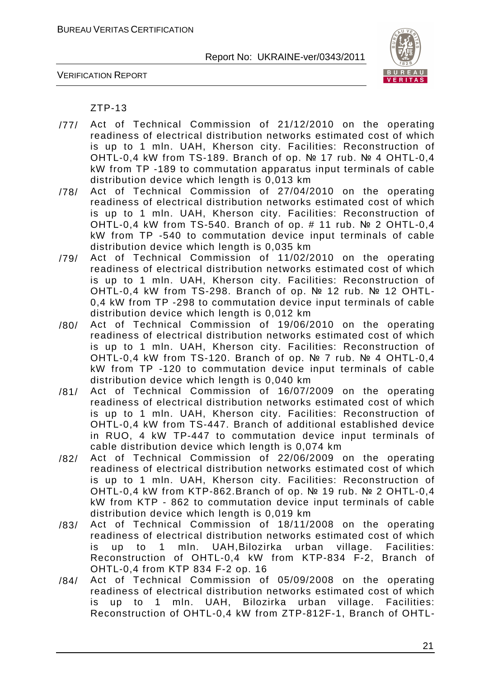

VERIFICATION REPORT

#### ZTP-13

- /77/ Act of Technical Commission of 21/12/2010 on the operating readiness of electrical distribution networks estimated cost of which is up to 1 mln. UAH, Kherson city. Facilities: Reconstruction of OHTL-0,4 kW from TS-189. Branch of op. № 17 rub. № 4 OHTL-0,4 kW from TP -189 to commutation apparatus input terminals of cable distribution device which length is 0,013 km
- /78/ Act of Technical Commission of 27/04/2010 on the operating readiness of electrical distribution networks estimated cost of which is up to 1 mln. UAH, Kherson city. Facilities: Reconstruction of OHTL-0,4 kW from TS-540. Branch of op. # 11 rub. № 2 OHTL-0,4 kW from TP -540 to commutation device input terminals of cable distribution device which length is 0,035 km
- /79/ Act of Technical Commission of 11/02/2010 on the operating readiness of electrical distribution networks estimated cost of which is up to 1 mln. UAH, Kherson city. Facilities: Reconstruction of OHTL-0,4 kW from TS-298. Branch of op. № 12 rub. № 12 OHTL-0,4 kW from TP -298 to commutation device input terminals of cable distribution device which length is 0,012 km
- /80/ Act of Technical Commission of 19/06/2010 on the operating readiness of electrical distribution networks estimated cost of which is up to 1 mln. UAH, Kherson city. Facilities: Reconstruction of OHTL-0,4 kW from TS-120. Branch of op. № 7 rub. № 4 OHTL-0,4 kW from TP -120 to commutation device input terminals of cable distribution device which length is 0,040 km
- /81/ Act of Technical Commission of 16/07/2009 on the operating readiness of electrical distribution networks estimated cost of which is up to 1 mln. UAH, Kherson city. Facilities: Reconstruction of OHTL-0,4 kW from TS-447. Branch of additional established device in RUO, 4 kW TP-447 to commutation device input terminals of cable distribution device which length is 0,074 km
- /82/ Act of Technical Commission of 22/06/2009 on the operating readiness of electrical distribution networks estimated cost of which is up to 1 mln. UAH, Kherson city. Facilities: Reconstruction of OHTL-0,4 kW from KTP-862.Branch of op. № 19 rub. № 2 OHTL-0,4 kW from KTP - 862 to commutation device input terminals of cable distribution device which length is 0,019 km
- /83/ Act of Technical Commission of 18/11/2008 on the operating readiness of electrical distribution networks estimated cost of which is up to 1 mln. UAH,Bilozirka urban village. Facilities: Reconstruction of OHTL-0,4 kW from KTP-834 F-2, Branch of OHTL-0,4 from KTP 834 F-2 op. 16
- /84/ Act of Technical Commission of 05/09/2008 on the operating readiness of electrical distribution networks estimated cost of which is up to 1 mln. UAH, Bilozirka urban village. Facilities: Reconstruction of OHTL-0,4 kW from ZTP-812F-1, Branch of OHTL-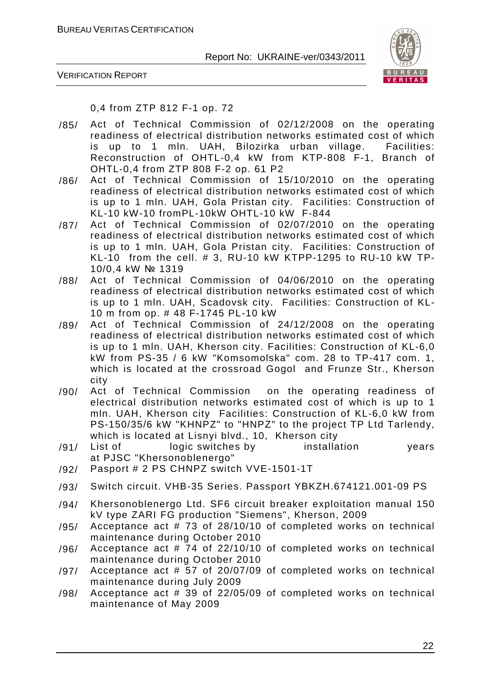

VERIFICATION REPORT

0,4 from ZTP 812 F-1 op. 72

- /85/ Act of Technical Commission of 02/12/2008 on the operating readiness of electrical distribution networks estimated cost of which is up to 1 mln. UAH, Bilozirka urban village. Facilities: Reconstruction of OHTL-0,4 kW from KTP-808 F-1, Branch of OHTL-0,4 from ZTP 808 F-2 op. 61 P2
- /86/ Act of Technical Commission of 15/10/2010 on the operating readiness of electrical distribution networks estimated cost of which is up to 1 mln. UAH, Gola Pristan city. Facilities: Construction of KL-10 kW-10 fromPL-10kW OHTL-10 kW F-844
- /87/ Act of Technical Commission of 02/07/2010 on the operating readiness of electrical distribution networks estimated cost of which is up to 1 mln. UAH, Gola Pristan city. Facilities: Construction of KL-10 from the cell. # 3, RU-10 kW KTPP-1295 to RU-10 kW TP-10/0,4 kW № 1319
- /88/ Act of Technical Commission of 04/06/2010 on the operating readiness of electrical distribution networks estimated cost of which is up to 1 mln. UAH, Scadovsk city. Facilities: Construction of KL-10 m from op. # 48 F-1745 PL-10 kW
- /89/ Act of Technical Commission of 24/12/2008 on the operating readiness of electrical distribution networks estimated cost of which is up to 1 mln. UAH, Kherson city. Facilities: Construction of KL-6,0 kW from PS-35 / 6 kW "Komsomolska" com. 28 to TP-417 com. 1, which is located at the crossroad Gogol and Frunze Str., Kherson city
- /90/ Act of Technical Commission on the operating readiness of electrical distribution networks estimated cost of which is up to 1 mln. UAH, Kherson city Facilities: Construction of KL-6,0 kW from PS-150/35/6 kW "KHNPZ" to "HNPZ" to the project TP Ltd Tarlendy, which is located at Lisnyi blvd., 10, Kherson city
- /91/ List of logic switches by installation years at PJSC "Khersonoblenergo"
- /92/ Pasport # 2 PS CHNPZ switch VVE-1501-1T
- /93/ Switch circuit. VHB-35 Series. Passport YBKZH.674121.001-09 PS
- /94/ Khersonoblenergo Ltd. SF6 circuit breaker exploitation manual 150 kV type ZARI FG production "Siemens", Kherson, 2009
- /95/ Acceptance act # 73 of 28/10/10 of completed works on technical maintenance during October 2010
- /96/ Acceptance act # 74 of 22/10/10 of completed works on technical maintenance during October 2010
- /97/ Acceptance act # 57 of 20/07/09 of completed works on technical maintenance during July 2009
- /98/ Acceptance act # 39 of 22/05/09 of completed works on technical maintenance of May 2009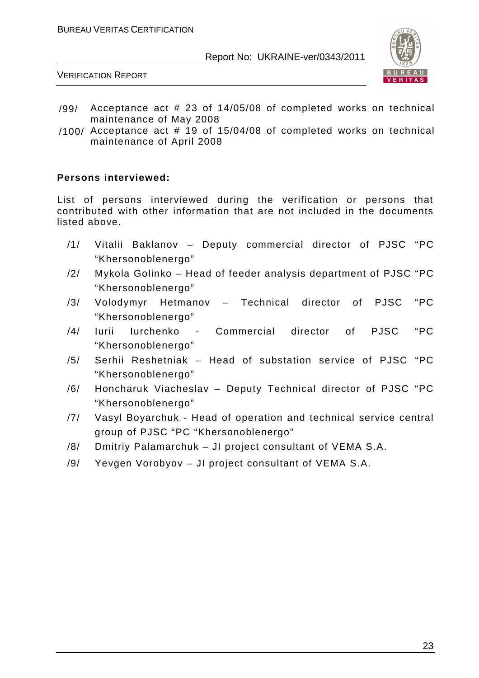

VERIFICATION REPORT

- /99/ Acceptance act # 23 of 14/05/08 of completed works on technical maintenance of May 2008
- /100/ Acceptance act # 19 of 15/04/08 of completed works on technical maintenance of April 2008

#### **Persons interviewed:**

List of persons interviewed during the verification or persons that contributed with other information that are not included in the documents listed above.

- /1/ Vitalii Baklanov Deputy commercial director of PJSC "PC "Khersonoblenergo"
- /2/ Mykola Golinko Head of feeder analysis department of PJSC "PC "Khersonoblenergo"
- /3/ Volodymyr Hetmanov Technical director of PJSC "PC "Khersonoblenergo"
- /4/ Iurii Iurchenko Commercial director of PJSC "PC "Khersonoblenergo"
- /5/ Serhii Reshetniak Head of substation service of PJSC "PC "Khersonoblenergo"
- /6/ Honcharuk Viacheslav Deputy Technical director of PJSC "PC "Khersonoblenergo"
- /7/ Vasyl Boyarchuk Head of operation and technical service central group of PJSC "PC "Khersonoblenergo"
- /8/ Dmitriy Palamarchuk JI project consultant of VEMA S.A.
- /9/ Yevgen Vorobyov JI project consultant of VEMA S.A.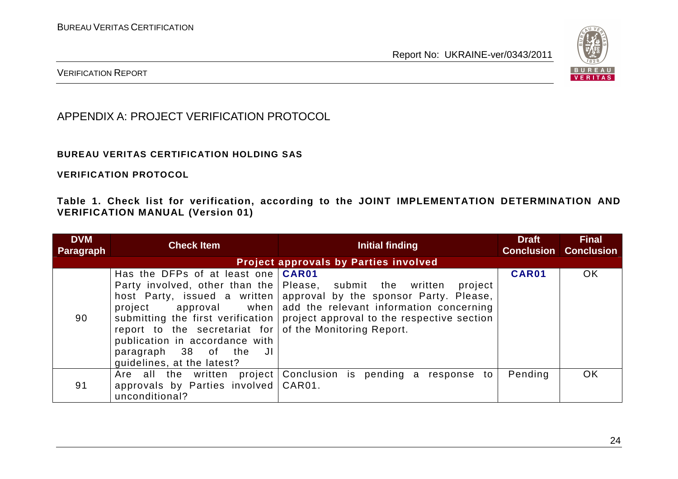

VERIFICATION REPORT

APPENDIX A: PROJECT VERIFICATION PROTOCOL

#### **BUREAU VERITAS CERTIFICATION HOLDING SAS**

**VERIFICATION PROTOCOL** 

**Table 1. Check list for verification, according to the JOINT IMPLEMENTATION DETERMINATION AND VERIFICATION MANUAL (Version 01)** 

| <b>DVM</b><br><b>Paragraph</b> | <b>Check Item</b>                                                                                                                                                                                  | Initial finding                                                                                                                                                                                                                                                                                  | <b>Draft</b> | <b>Final</b><br><b>Conclusion Conclusion</b> |
|--------------------------------|----------------------------------------------------------------------------------------------------------------------------------------------------------------------------------------------------|--------------------------------------------------------------------------------------------------------------------------------------------------------------------------------------------------------------------------------------------------------------------------------------------------|--------------|----------------------------------------------|
|                                |                                                                                                                                                                                                    | <b>Project approvals by Parties involved</b>                                                                                                                                                                                                                                                     |              |                                              |
| 90                             | Has the DFPs of at least one <b>CAR01</b><br>report to the secretariat for of the Monitoring Report.<br>publication in accordance with<br>paragraph 38 of the<br>JI.<br>quidelines, at the latest? | Party involved, other than the Please, submit the written<br>project<br>host Party, issued a written   approval by the sponsor Party. Please,<br>project approval when add the relevant information concerning<br>submitting the first verification   project approval to the respective section | CAR01        | OK                                           |
| 91                             | Are all the written project<br>approvals by Parties involved   CAR01.<br>unconditional?                                                                                                            | Conclusion is pending a response to                                                                                                                                                                                                                                                              | Pending      | OK                                           |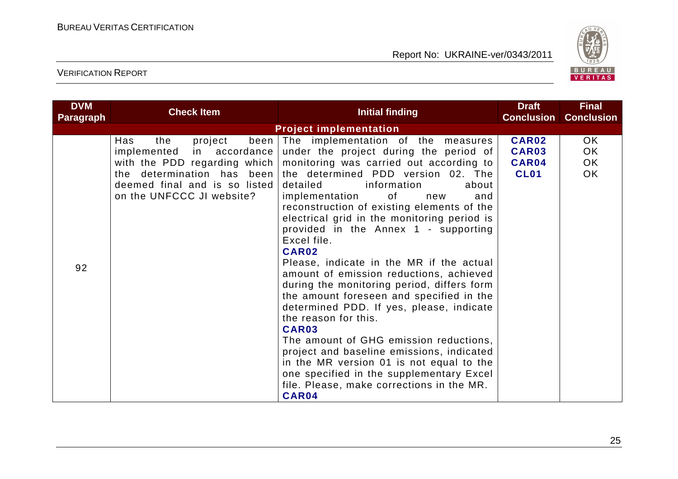

| <b>DVM</b><br>Paragraph | <b>Check Item</b>                                                                                                                              | <b>Initial finding</b>                                                                                                                                                                                                                                                                                                                                                                                                                                                                                                                                                                                                                                                                                                                                                                                                                                                                                                                             | <b>Draft</b><br><b>Conclusion</b>             | <b>Final</b><br><b>Conclusion</b> |
|-------------------------|------------------------------------------------------------------------------------------------------------------------------------------------|----------------------------------------------------------------------------------------------------------------------------------------------------------------------------------------------------------------------------------------------------------------------------------------------------------------------------------------------------------------------------------------------------------------------------------------------------------------------------------------------------------------------------------------------------------------------------------------------------------------------------------------------------------------------------------------------------------------------------------------------------------------------------------------------------------------------------------------------------------------------------------------------------------------------------------------------------|-----------------------------------------------|-----------------------------------|
|                         |                                                                                                                                                | <b>Project implementation</b>                                                                                                                                                                                                                                                                                                                                                                                                                                                                                                                                                                                                                                                                                                                                                                                                                                                                                                                      |                                               |                                   |
| 92                      | the<br>project<br>Has<br>implemented in accordance<br>the determination has been<br>deemed final and is so listed<br>on the UNFCCC JI website? | been The implementation of the measures<br>under the project during the period of<br>with the PDD regarding which   monitoring was carried out according to<br>the determined PDD version 02. The<br>detailed<br>information<br>about<br>implementation<br>of<br>and<br>new<br>reconstruction of existing elements of the<br>electrical grid in the monitoring period is<br>provided in the Annex 1 - supporting<br>Excel file.<br>CAR02<br>Please, indicate in the MR if the actual<br>amount of emission reductions, achieved<br>during the monitoring period, differs form<br>the amount foreseen and specified in the<br>determined PDD. If yes, please, indicate<br>the reason for this.<br><b>CAR03</b><br>The amount of GHG emission reductions,<br>project and baseline emissions, indicated<br>in the MR version 01 is not equal to the<br>one specified in the supplementary Excel<br>file. Please, make corrections in the MR.<br>CAR04 | <b>CAR02</b><br>CAR03<br>CAR04<br><b>CL01</b> | OK<br>OK.<br>OK<br><b>OK</b>      |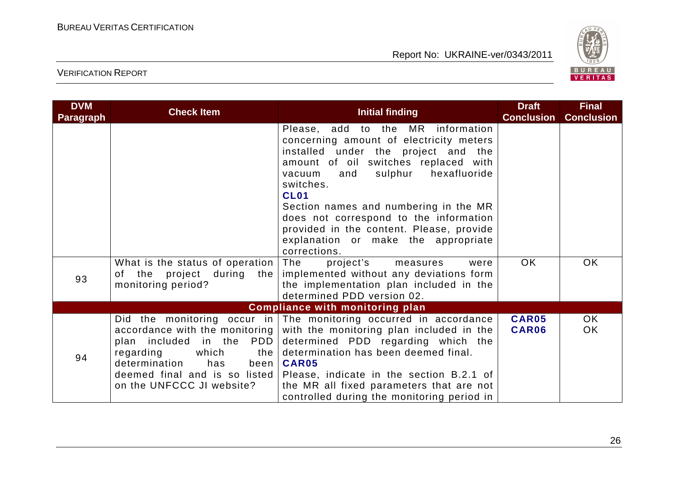

| <b>DVM</b><br><b>Paragraph</b> | <b>Check Item</b>                                                                                   | <b>Initial finding</b>                                                                                                                                                                                                                                                                                                                                                                                                    | <b>Draft</b><br><b>Conclusion</b> | <b>Final</b><br><b>Conclusion</b> |
|--------------------------------|-----------------------------------------------------------------------------------------------------|---------------------------------------------------------------------------------------------------------------------------------------------------------------------------------------------------------------------------------------------------------------------------------------------------------------------------------------------------------------------------------------------------------------------------|-----------------------------------|-----------------------------------|
|                                |                                                                                                     | Please, add to the MR information<br>concerning amount of electricity meters<br>installed under the project and the<br>amount of oil switches replaced with<br>hexafluoride<br>sulphur<br>vacuum<br>and<br>switches.<br><b>CL01</b><br>Section names and numbering in the MR<br>does not correspond to the information<br>provided in the content. Please, provide<br>explanation or make the appropriate<br>corrections. |                                   |                                   |
| 93                             | What is the status of operation The<br>monitoring period?                                           | project's<br>measures<br>were<br>of the project during the   implemented without any deviations form<br>the implementation plan included in the<br>determined PDD version 02.                                                                                                                                                                                                                                             | OK.                               | <b>OK</b>                         |
|                                |                                                                                                     | <b>Compliance with monitoring plan</b>                                                                                                                                                                                                                                                                                                                                                                                    |                                   |                                   |
| 94                             | plan included in the PDD<br>which<br>regarding<br>determination<br>has<br>on the UNFCCC JI website? | Did the monitoring occur in The monitoring occurred in accordance<br>accordance with the monitoring with the monitoring plan included in the<br>determined PDD regarding which the<br>the determination has been deemed final.<br>been   CAR05<br>deemed final and is so listed   Please, indicate in the section B.2.1 of<br>the MR all fixed parameters that are not<br>controlled during the monitoring period in      | <b>CAR05</b><br>CAR06             | OK<br>OK                          |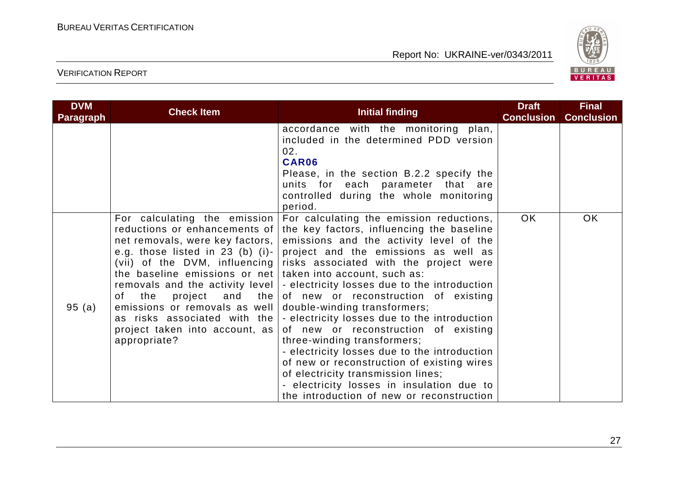

| <b>DVM</b><br><b>Paragraph</b> | <b>Check Item</b>                                                                                                                                                                                                                                                                                  | Initial finding                                                                                                                                                                                                                                                                                                                                                                                                                                                                                                                                                                                                                                                                                                                                                                                                          | <b>Draft</b><br><b>Conclusion</b> | <b>Final</b><br><b>Conclusion</b> |
|--------------------------------|----------------------------------------------------------------------------------------------------------------------------------------------------------------------------------------------------------------------------------------------------------------------------------------------------|--------------------------------------------------------------------------------------------------------------------------------------------------------------------------------------------------------------------------------------------------------------------------------------------------------------------------------------------------------------------------------------------------------------------------------------------------------------------------------------------------------------------------------------------------------------------------------------------------------------------------------------------------------------------------------------------------------------------------------------------------------------------------------------------------------------------------|-----------------------------------|-----------------------------------|
|                                |                                                                                                                                                                                                                                                                                                    | accordance with the monitoring plan,<br>included in the determined PDD version<br>02.<br>CAR06<br>Please, in the section B.2.2 specify the<br>units for each parameter that are<br>controlled during the whole monitoring<br>period.                                                                                                                                                                                                                                                                                                                                                                                                                                                                                                                                                                                     |                                   |                                   |
| 95(a)                          | For calculating the emission<br>reductions or enhancements of<br>net removals, were key factors,  <br>the baseline emissions or net taken into account, such as:<br>the<br>of l<br>emissions or removals as well<br>as risks associated with the<br>project taken into account, as<br>appropriate? | For calculating the emission reductions,<br>the key factors, influencing the baseline<br>emissions and the activity level of the<br>e.g. those listed in 23 (b) (i)- project and the emissions as well as<br>(vii) of the DVM, influencing risks associated with the project were<br>removals and the activity level   - electricity losses due to the introduction<br>project and the of new or reconstruction of existing<br>double-winding transformers;<br>$\vert$ - electricity losses due to the introduction<br>of new or reconstruction of existing<br>three-winding transformers;<br>- electricity losses due to the introduction<br>of new or reconstruction of existing wires<br>of electricity transmission lines;<br>- electricity losses in insulation due to<br>the introduction of new or reconstruction | OK                                | <b>OK</b>                         |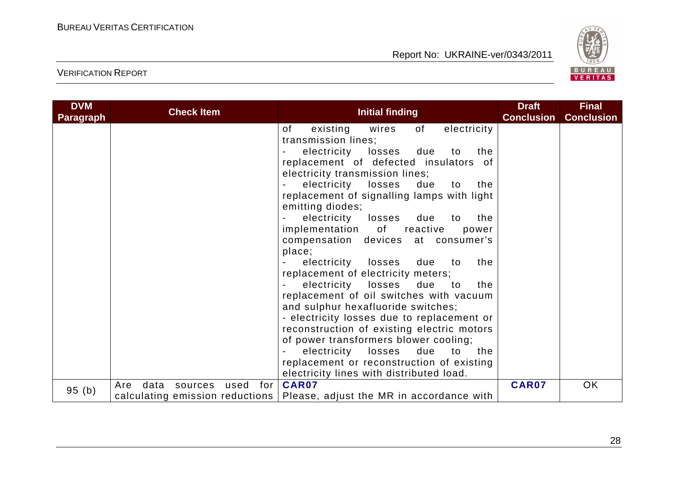

| <b>DVM</b><br><b>Paragraph</b> | <b>Check Item</b>                     | <b>Initial finding</b>                                                     | <b>Draft</b><br><b>Conclusion</b> | <b>Final</b><br><b>Conclusion</b> |
|--------------------------------|---------------------------------------|----------------------------------------------------------------------------|-----------------------------------|-----------------------------------|
|                                |                                       | electricity<br>of<br>wires<br>of<br>existing                               |                                   |                                   |
|                                |                                       | transmission lines;                                                        |                                   |                                   |
|                                |                                       | electricity losses<br>due<br>the<br>to                                     |                                   |                                   |
|                                |                                       | replacement of defected insulators of                                      |                                   |                                   |
|                                |                                       | electricity transmission lines;                                            |                                   |                                   |
|                                |                                       | electricity losses<br>due<br>to<br>the                                     |                                   |                                   |
|                                |                                       | replacement of signalling lamps with light                                 |                                   |                                   |
|                                |                                       | emitting diodes;                                                           |                                   |                                   |
|                                |                                       | electricity<br>losses<br>due<br>the<br>to                                  |                                   |                                   |
|                                |                                       | implementation of reactive<br>power                                        |                                   |                                   |
|                                |                                       | compensation devices at consumer's                                         |                                   |                                   |
|                                |                                       | place;                                                                     |                                   |                                   |
|                                |                                       | electricity losses<br>the<br>due<br>to                                     |                                   |                                   |
|                                |                                       | replacement of electricity meters;                                         |                                   |                                   |
|                                |                                       | electricity losses<br>due to<br>the                                        |                                   |                                   |
|                                |                                       | replacement of oil switches with vacuum                                    |                                   |                                   |
|                                |                                       | and sulphur hexafluoride switches;                                         |                                   |                                   |
|                                |                                       | - electricity losses due to replacement or                                 |                                   |                                   |
|                                |                                       | reconstruction of existing electric motors                                 |                                   |                                   |
|                                |                                       | of power transformers blower cooling;                                      |                                   |                                   |
|                                |                                       | electricity losses<br>due<br>to<br>the                                     |                                   |                                   |
|                                |                                       | replacement or reconstruction of existing                                  |                                   |                                   |
|                                |                                       | electricity lines with distributed load.                                   |                                   |                                   |
|                                | for<br>data<br>used<br>Are<br>sources | <b>CAR07</b>                                                               | <b>CAR07</b>                      | OK                                |
| 95(b)                          |                                       | calculating emission reductions   Please, adjust the MR in accordance with |                                   |                                   |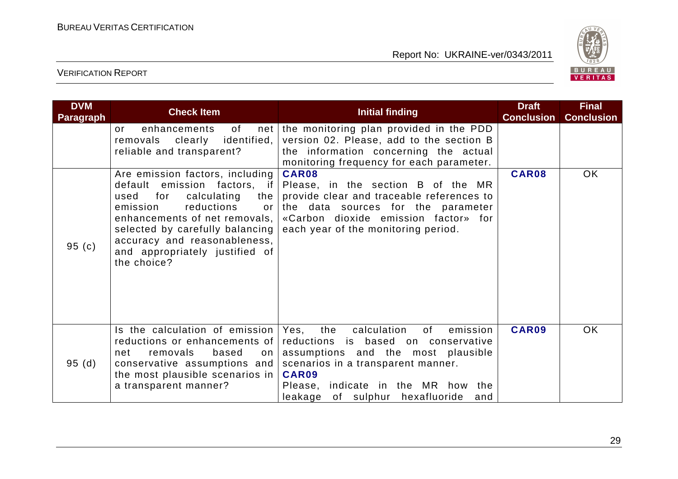

| <b>DVM</b><br><b>Paragraph</b> | <b>Check Item</b>                                                                                                                                                                                                                                                                             | <b>Initial finding</b>                                                                                                                                                                                                                                      | <b>Draft</b><br><b>Conclusion</b> | <b>Final</b><br><b>Conclusion</b> |
|--------------------------------|-----------------------------------------------------------------------------------------------------------------------------------------------------------------------------------------------------------------------------------------------------------------------------------------------|-------------------------------------------------------------------------------------------------------------------------------------------------------------------------------------------------------------------------------------------------------------|-----------------------------------|-----------------------------------|
|                                | of<br>enhancements<br>or<br>identified,<br>removals clearly<br>reliable and transparent?                                                                                                                                                                                                      | net the monitoring plan provided in the PDD<br>version 02. Please, add to the section B<br>the information concerning the actual<br>monitoring frequency for each parameter.                                                                                |                                   |                                   |
| 95(c)                          | Are emission factors, including<br>default emission factors, if<br>for<br>calculating<br>used<br>the<br>reductions<br>emission<br>or<br>enhancements of net removals,  <br>selected by carefully balancing  <br>accuracy and reasonableness,<br>and appropriately justified of<br>the choice? | <b>CAR08</b><br>Please, in the section B of the MR<br>provide clear and traceable references to<br>the data sources for the parameter<br>«Carbon dioxide emission factor» for<br>each year of the monitoring period.                                        | CAR08                             | OK                                |
| 95(d)                          | Is the calculation of emission<br>reductions or enhancements of<br>removals<br>based<br>net<br>on<br>conservative assumptions and<br>the most plausible scenarios in<br>a transparent manner?                                                                                                 | calculation<br>Yes,<br>the<br>0f<br>emission<br>reductions is based on conservative<br>assumptions and the most plausible<br>scenarios in a transparent manner.<br>CAR09<br>Please, indicate in the MR how the<br>of sulphur hexafluoride<br>leakage<br>and | CAR09                             | <b>OK</b>                         |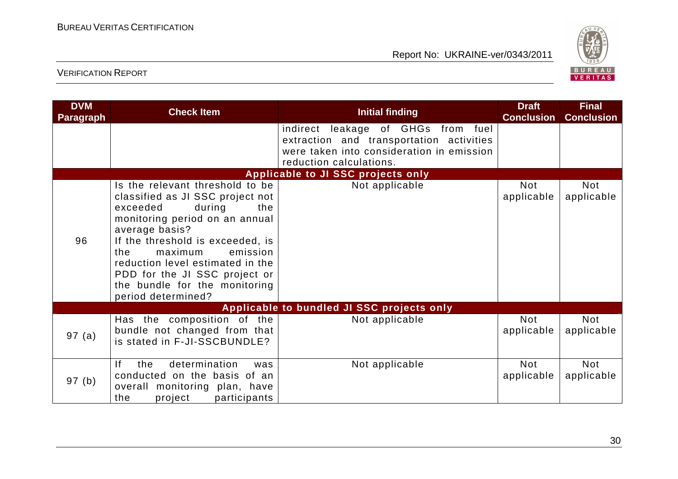

| <b>DVM</b><br><b>Paragraph</b>     | <b>Check Item</b>                                                                                                                                                                                                                                                                                                                                  | <b>Initial finding</b>                                                                                                                                 | <b>Draft</b><br><b>Conclusion</b> | <b>Final</b><br><b>Conclusion</b> |
|------------------------------------|----------------------------------------------------------------------------------------------------------------------------------------------------------------------------------------------------------------------------------------------------------------------------------------------------------------------------------------------------|--------------------------------------------------------------------------------------------------------------------------------------------------------|-----------------------------------|-----------------------------------|
|                                    |                                                                                                                                                                                                                                                                                                                                                    | indirect leakage of GHGs from fuel<br>extraction and transportation activities<br>were taken into consideration in emission<br>reduction calculations. |                                   |                                   |
| Applicable to JI SSC projects only |                                                                                                                                                                                                                                                                                                                                                    |                                                                                                                                                        |                                   |                                   |
| 96                                 | Is the relevant threshold to be<br>classified as JI SSC project not<br>during<br>exceeded<br>the<br>monitoring period on an annual<br>average basis?<br>If the threshold is exceeded, is<br>the<br>emission<br>maximum<br>reduction level estimated in the<br>PDD for the JI SSC project or<br>the bundle for the monitoring<br>period determined? | Not applicable                                                                                                                                         | Not<br>applicable                 | <b>Not</b><br>applicable          |
|                                    |                                                                                                                                                                                                                                                                                                                                                    | Applicable to bundled JI SSC projects only                                                                                                             |                                   |                                   |
| 97(a)                              | Has the composition of the<br>bundle not changed from that<br>is stated in F-JI-SSCBUNDLE?                                                                                                                                                                                                                                                         | Not applicable                                                                                                                                         | <b>Not</b><br>applicable          | <b>Not</b><br>applicable          |
| 97(b)                              | If<br>determination<br>the<br>was<br>conducted on the basis of an<br>overall monitoring plan, have<br>the<br>project<br>participants                                                                                                                                                                                                               | Not applicable                                                                                                                                         | <b>Not</b><br>applicable          | <b>Not</b><br>applicable          |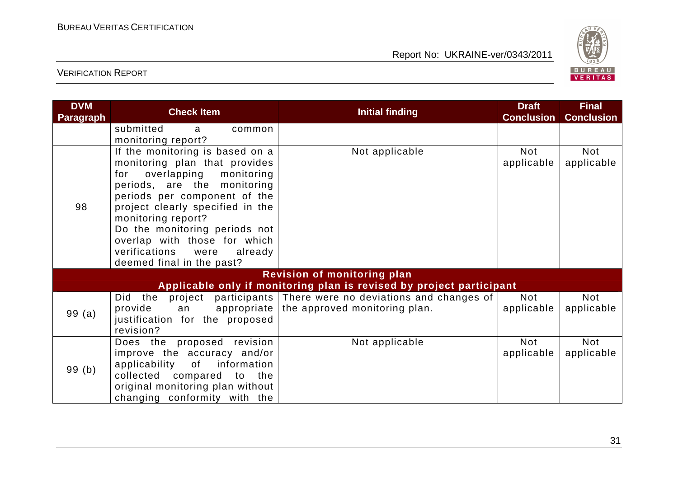

| <b>DVM</b><br><b>Paragraph</b> | <b>Check Item</b>                                                                                                                                                                                                                                                                                                                                            | <b>Initial finding</b>                                                                                              | <b>Draft</b><br><b>Conclusion</b> | <b>Final</b><br><b>Conclusion</b> |
|--------------------------------|--------------------------------------------------------------------------------------------------------------------------------------------------------------------------------------------------------------------------------------------------------------------------------------------------------------------------------------------------------------|---------------------------------------------------------------------------------------------------------------------|-----------------------------------|-----------------------------------|
|                                | submitted<br>common<br>a<br>monitoring report?                                                                                                                                                                                                                                                                                                               |                                                                                                                     |                                   |                                   |
| 98                             | If the monitoring is based on a<br>monitoring plan that provides<br>overlapping monitoring<br>for<br>periods, are the monitoring<br>periods per component of the<br>project clearly specified in the<br>monitoring report?<br>Do the monitoring periods not<br>overlap with those for which<br>verifications<br>were<br>already<br>deemed final in the past? | Not applicable                                                                                                      | Not<br>applicable                 | Not<br>applicable                 |
|                                |                                                                                                                                                                                                                                                                                                                                                              | <b>Revision of monitoring plan</b>                                                                                  |                                   |                                   |
|                                |                                                                                                                                                                                                                                                                                                                                                              | Applicable only if monitoring plan is revised by project participant                                                |                                   |                                   |
| 99(a)                          | provide<br>an<br>justification for the proposed<br>revision?                                                                                                                                                                                                                                                                                                 | Did the project participants There were no deviations and changes of<br>appropriate   the approved monitoring plan. | Not<br>applicable                 | Not<br>applicable                 |
| 99(b)                          | Does the proposed revision<br>improve the accuracy and/or<br>applicability<br>of information<br>collected compared to the<br>original monitoring plan without<br>changing conformity with the                                                                                                                                                                | Not applicable                                                                                                      | Not<br>applicable                 | Not<br>applicable                 |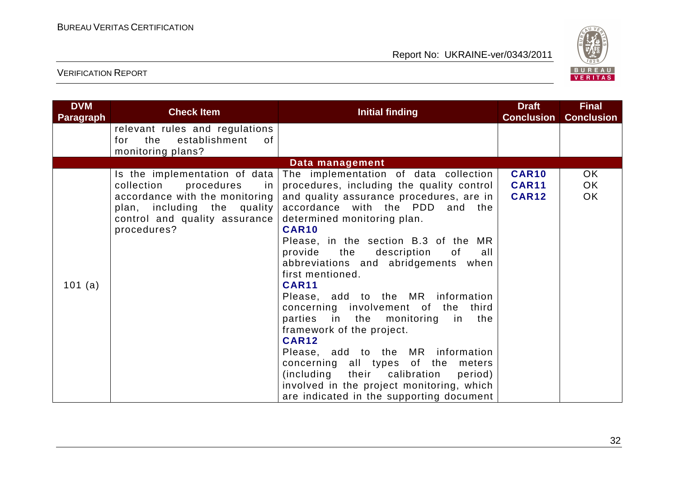

| <b>DVM</b><br><b>Paragraph</b> | <b>Check Item</b>                                                                                                                               | <b>Initial finding</b>                                                                                                                                                                                                                                                                                                                                                                                                                                                                                                                                                                                                                                                                                                                                                                      | <b>Draft</b><br><b>Conclusion</b>            | <b>Final</b><br><b>Conclusion</b> |
|--------------------------------|-------------------------------------------------------------------------------------------------------------------------------------------------|---------------------------------------------------------------------------------------------------------------------------------------------------------------------------------------------------------------------------------------------------------------------------------------------------------------------------------------------------------------------------------------------------------------------------------------------------------------------------------------------------------------------------------------------------------------------------------------------------------------------------------------------------------------------------------------------------------------------------------------------------------------------------------------------|----------------------------------------------|-----------------------------------|
|                                | relevant rules and regulations<br>establishment<br>for the<br>0f<br>monitoring plans?                                                           |                                                                                                                                                                                                                                                                                                                                                                                                                                                                                                                                                                                                                                                                                                                                                                                             |                                              |                                   |
|                                |                                                                                                                                                 | Data management                                                                                                                                                                                                                                                                                                                                                                                                                                                                                                                                                                                                                                                                                                                                                                             |                                              |                                   |
| 101 (a)                        | collection<br>procedures<br>in<br>accordance with the monitoring<br>plan, including the quality<br>control and quality assurance<br>procedures? | Is the implementation of data The implementation of data collection<br>procedures, including the quality control<br>and quality assurance procedures, are in<br>accordance with the PDD and the<br>determined monitoring plan.<br><b>CAR10</b><br>Please, in the section B.3 of the MR<br>provide the<br>description<br>of<br>all<br>abbreviations and abridgements when<br>first mentioned.<br><b>CAR11</b><br>Please, add to the MR information<br>concerning involvement of the third<br>parties in the monitoring in<br>the<br>framework of the project.<br><b>CAR12</b><br>Please, add to the MR information<br>concerning all types of the meters<br>(including their calibration<br>period)<br>involved in the project monitoring, which<br>are indicated in the supporting document | <b>CAR10</b><br><b>CAR11</b><br><b>CAR12</b> | OK.<br>OK.<br>OK                  |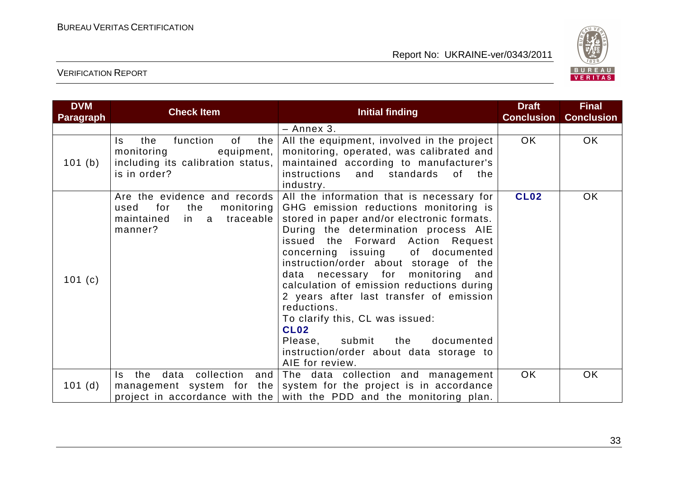

| <b>DVM</b><br><b>Paragraph</b> | <b>Check Item</b>                                                                                                    | Initial finding                                                                                                                                                                                                                                                                                                                                                                                                                                                                                                                                                                                   | <b>Draft</b><br><b>Conclusion</b> | <b>Final</b><br><b>Conclusion</b> |
|--------------------------------|----------------------------------------------------------------------------------------------------------------------|---------------------------------------------------------------------------------------------------------------------------------------------------------------------------------------------------------------------------------------------------------------------------------------------------------------------------------------------------------------------------------------------------------------------------------------------------------------------------------------------------------------------------------------------------------------------------------------------------|-----------------------------------|-----------------------------------|
|                                |                                                                                                                      | - Annex 3.                                                                                                                                                                                                                                                                                                                                                                                                                                                                                                                                                                                        |                                   |                                   |
| 101 (b)                        | function<br>of<br>the<br>the<br>Is.<br>monitoring<br>equipment,<br>including its calibration status,<br>is in order? | All the equipment, involved in the project<br>monitoring, operated, was calibrated and<br>maintained according to manufacturer's<br>instructions<br>standards of<br>and<br>the<br>industry.                                                                                                                                                                                                                                                                                                                                                                                                       | <b>OK</b>                         | <b>OK</b>                         |
| 101(c)                         | Are the evidence and records<br>for<br>the<br>monitoring  <br>used<br>in a traceable<br>maintained<br>manner?        | All the information that is necessary for<br>GHG emission reductions monitoring is<br>stored in paper and/or electronic formats.<br>During the determination process AIE<br>issued the Forward Action Request<br>concerning issuing of documented<br>instruction/order about storage of the<br>data necessary for monitoring and<br>calculation of emission reductions during<br>2 years after last transfer of emission<br>reductions.<br>To clarify this, CL was issued:<br><b>CL02</b><br>submit<br>documented<br>Please,<br>the<br>instruction/order about data storage to<br>AIE for review. | <b>CL02</b>                       | OK                                |
| 101(d)                         | data collection and<br>the<br>Is.                                                                                    | The data collection and management<br>management system for the system for the project is in accordance<br>project in accordance with the with the PDD and the monitoring plan.                                                                                                                                                                                                                                                                                                                                                                                                                   | OK.                               | <b>OK</b>                         |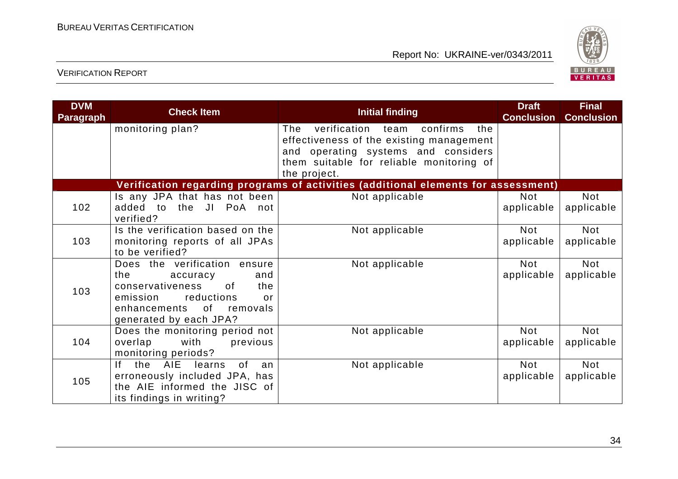

| <b>DVM</b><br><b>Paragraph</b> | <b>Check Item</b>                                                                                                                                                             | <b>Initial finding</b>                                                                                                                                                                  | <b>Draft</b><br><b>Conclusion</b> | <b>Final</b><br><b>Conclusion</b> |
|--------------------------------|-------------------------------------------------------------------------------------------------------------------------------------------------------------------------------|-----------------------------------------------------------------------------------------------------------------------------------------------------------------------------------------|-----------------------------------|-----------------------------------|
|                                | monitoring plan?                                                                                                                                                              | verification team confirms<br>the<br>The<br>effectiveness of the existing management<br>and operating systems and considers<br>them suitable for reliable monitoring of<br>the project. |                                   |                                   |
|                                |                                                                                                                                                                               | Verification regarding programs of activities (additional elements for assessment)                                                                                                      |                                   |                                   |
| 102                            | Is any JPA that has not been<br>added to the JI PoA not<br>verified?                                                                                                          | Not applicable                                                                                                                                                                          | <b>Not</b><br>applicable          | <b>Not</b><br>applicable          |
| 103                            | Is the verification based on the<br>monitoring reports of all JPAs<br>to be verified?                                                                                         | Not applicable                                                                                                                                                                          | Not<br>applicable                 | <b>Not</b><br>applicable          |
| 103                            | Does the verification ensure<br>the<br>accuracy<br>and<br>conservativeness<br>of<br>the<br>reductions<br>emission<br>or<br>enhancements of removals<br>generated by each JPA? | Not applicable                                                                                                                                                                          | <b>Not</b><br>applicable          | <b>Not</b><br>applicable          |
| 104                            | Does the monitoring period not<br>overlap<br>with<br>previous<br>monitoring periods?                                                                                          | Not applicable                                                                                                                                                                          | <b>Not</b><br>applicable          | <b>Not</b><br>applicable          |
| 105                            | the AIE learns<br>lf.<br>0f<br>an<br>erroneously included JPA, has<br>the AIE informed the JISC of<br>its findings in writing?                                                | Not applicable                                                                                                                                                                          | <b>Not</b><br>applicable          | <b>Not</b><br>applicable          |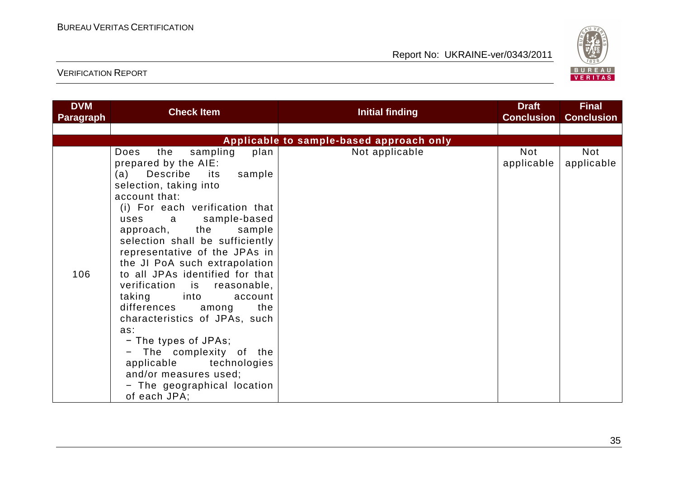

| <b>DVM</b><br><b>Paragraph</b> | <b>Check Item</b>                                                                                                                                                                                                                                                                                                                                                                                                                                                                                                                                                                                                                                                                | Initial finding                          | <b>Draft</b><br><b>Conclusion</b> | <b>Final</b><br><b>Conclusion</b> |
|--------------------------------|----------------------------------------------------------------------------------------------------------------------------------------------------------------------------------------------------------------------------------------------------------------------------------------------------------------------------------------------------------------------------------------------------------------------------------------------------------------------------------------------------------------------------------------------------------------------------------------------------------------------------------------------------------------------------------|------------------------------------------|-----------------------------------|-----------------------------------|
|                                |                                                                                                                                                                                                                                                                                                                                                                                                                                                                                                                                                                                                                                                                                  |                                          |                                   |                                   |
|                                |                                                                                                                                                                                                                                                                                                                                                                                                                                                                                                                                                                                                                                                                                  | Applicable to sample-based approach only |                                   |                                   |
| 106                            | sampling<br>Does<br>the<br>plan<br>prepared by the AIE:<br>Describe<br>sample<br>(a)<br>its<br>selection, taking into<br>account that:<br>(i) For each verification that<br>sample-based<br>uses<br>a<br>approach, the<br>sample<br>selection shall be sufficiently<br>representative of the JPAs in<br>the JI PoA such extrapolation<br>to all JPAs identified for that<br>reasonable,<br>verification is<br>taking<br>into <b>into</b><br>account<br>differences<br>the<br>among<br>characteristics of JPAs, such<br>as:<br>- The types of JPAs;<br>- The complexity of the<br>applicable technologies<br>and/or measures used;<br>- The geographical location<br>of each JPA; | Not applicable                           | <b>Not</b><br>applicable          | Not<br>applicable                 |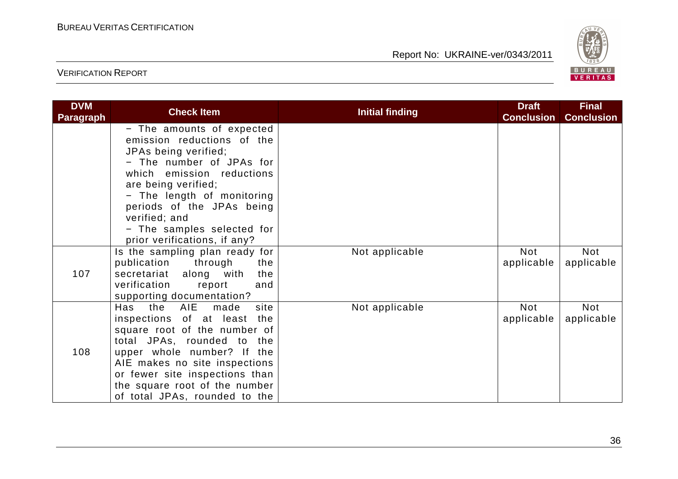

| <b>DVM</b><br><b>Paragraph</b> | <b>Check Item</b>                                                                                                                                                                                                                                                                                         | <b>Initial finding</b> | <b>Draft</b><br><b>Conclusion</b> | <b>Final</b><br><b>Conclusion</b> |
|--------------------------------|-----------------------------------------------------------------------------------------------------------------------------------------------------------------------------------------------------------------------------------------------------------------------------------------------------------|------------------------|-----------------------------------|-----------------------------------|
|                                | - The amounts of expected<br>emission reductions of the<br>JPAs being verified;<br>- The number of JPAs for<br>which emission reductions<br>are being verified;<br>- The length of monitoring<br>periods of the JPAs being<br>verified; and<br>- The samples selected for<br>prior verifications, if any? |                        |                                   |                                   |
| 107                            | Is the sampling plan ready for<br>publication<br>through<br>the<br>secretariat along with<br>the<br>verification<br>report<br>and<br>supporting documentation?                                                                                                                                            | Not applicable         | Not<br>applicable                 | Not<br>applicable                 |
| 108                            | the AIE made<br>Has<br>site<br>inspections of at least<br>the<br>square root of the number of<br>total JPAs, rounded to the<br>upper whole number? If the<br>AIE makes no site inspections<br>or fewer site inspections than<br>the square root of the number<br>of total JPAs, rounded to the            | Not applicable         | Not<br>applicable                 | Not<br>applicable                 |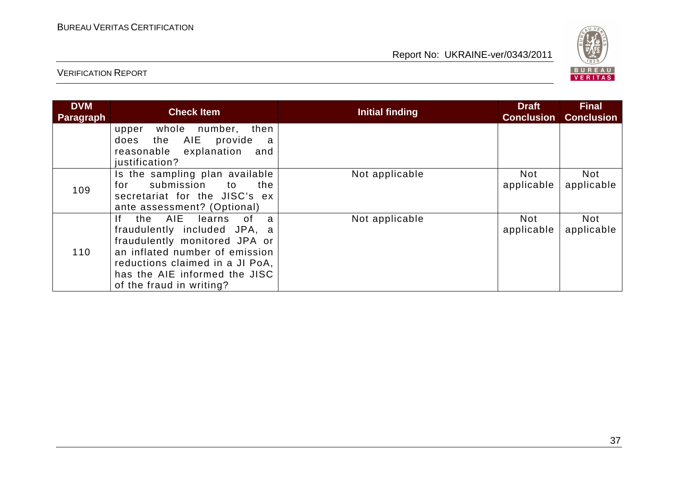

| <b>DVM</b><br>Paragraph | <b>Check Item</b>                                                                                                                                                                                                                                 | <b>Initial finding</b> | <b>Draft</b><br><b>Conclusion</b> | <b>Final</b><br><b>Conclusion</b> |
|-------------------------|---------------------------------------------------------------------------------------------------------------------------------------------------------------------------------------------------------------------------------------------------|------------------------|-----------------------------------|-----------------------------------|
|                         | whole number, then<br>upper<br>the AIE<br>provide<br>does<br>a<br>reasonable explanation<br>and<br>justification?                                                                                                                                 |                        |                                   |                                   |
| 109                     | Is the sampling plan available<br>submission to<br>the<br>for<br>secretariat for the JISC's ex<br>ante assessment? (Optional)                                                                                                                     | Not applicable         | Not<br>applicable                 | <b>Not</b><br>applicable          |
| 110                     | the AIE<br>learns<br>0f<br>lf.<br>$\mathbf{a}$<br>fraudulently included JPA, a<br>fraudulently monitored JPA or<br>an inflated number of emission<br>reductions claimed in a JI PoA,<br>has the AIE informed the JISC<br>of the fraud in writing? | Not applicable         | Not<br>applicable                 | <b>Not</b><br>applicable          |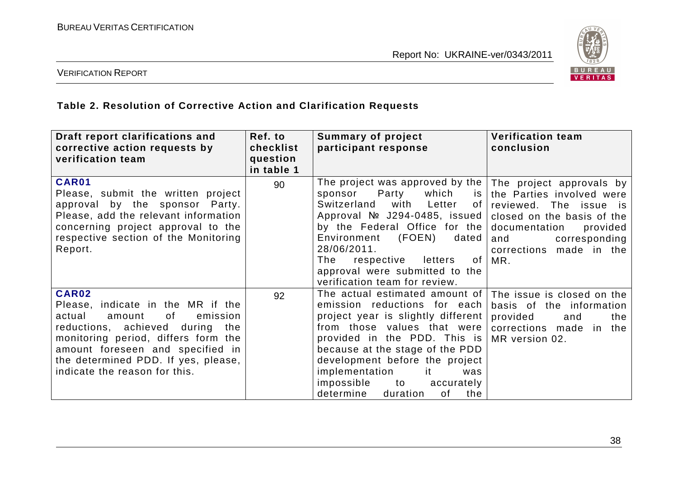

#### VERIFICATION REPORT

#### **Table 2. Resolution of Corrective Action and Clarification Requests**

| Draft report clarifications and<br>corrective action requests by<br>verification team                                                                                                                                                                                         | Ref. to<br>checklist<br>question<br>in table 1 | <b>Summary of project</b><br>participant response                                                                                                                                                                                                                                                                                                                                | <b>Verification team</b><br>conclusion                                                                                                                                                               |
|-------------------------------------------------------------------------------------------------------------------------------------------------------------------------------------------------------------------------------------------------------------------------------|------------------------------------------------|----------------------------------------------------------------------------------------------------------------------------------------------------------------------------------------------------------------------------------------------------------------------------------------------------------------------------------------------------------------------------------|------------------------------------------------------------------------------------------------------------------------------------------------------------------------------------------------------|
| CAR01<br>Please, submit the written project<br>approval by the sponsor Party.<br>Please, add the relevant information<br>concerning project approval to the<br>respective section of the Monitoring<br>Report.                                                                | 90                                             | The project was approved by the $ $<br>Party<br>which<br>sponsor<br>is I<br>Switzerland<br>with<br>Letter<br>of I<br>Approval $N2$ J294-0485, issued<br>by the Federal Office for the<br>(FOEN)<br>Environment<br>dated<br>28/06/2011.<br>of<br>The<br>respective letters<br>approval were submitted to the<br>verification team for review.                                     | The project approvals by<br>the Parties involved were<br>reviewed. The issue is<br>closed on the basis of the<br>documentation<br>provided<br>corresponding<br>and<br>corrections made in the<br>MR. |
| <b>CAR02</b><br>Please, indicate in the MR if the<br>actual<br>emission<br>amount<br>of<br>reductions, achieved during the<br>monitoring period, differs form the<br>amount foreseen and specified in<br>the determined PDD. If yes, please,<br>indicate the reason for this. | 92                                             | The actual estimated amount of   The issue is closed on the<br>emission reductions for each<br>project year is slightly different<br>from those values that were<br>provided in the PDD. This is<br>because at the stage of the PDD<br>development before the project<br>implementation<br>it.<br>was<br>impossible<br>to to<br>accurately<br>determine<br>duration<br>of<br>the | basis of the information<br>provided<br>and<br>the<br>corrections made in the<br>MR version 02.                                                                                                      |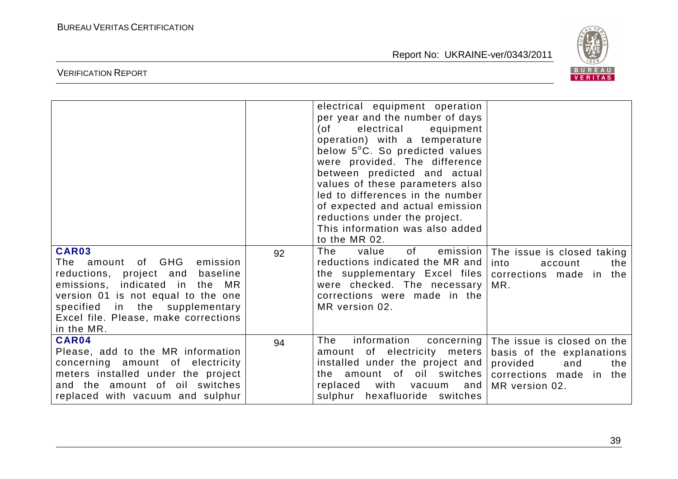

| CAR03                                                                                                                                                                                                                                | 92 | electrical equipment operation<br>per year and the number of days<br>electrical<br>(of<br>equipment<br>operation) with a temperature<br>below 5°C. So predicted values<br>were provided. The difference<br>between predicted and actual<br>values of these parameters also<br>led to differences in the number<br>of expected and actual emission<br>reductions under the project.<br>This information was also added<br>to the MR 02.<br>The<br>of the control<br>value | emission   The issue is closed taking                                                                |
|--------------------------------------------------------------------------------------------------------------------------------------------------------------------------------------------------------------------------------------|----|--------------------------------------------------------------------------------------------------------------------------------------------------------------------------------------------------------------------------------------------------------------------------------------------------------------------------------------------------------------------------------------------------------------------------------------------------------------------------|------------------------------------------------------------------------------------------------------|
| The amount of GHG<br>emission<br>reductions, project and<br>baseline<br>emissions, indicated in the MR<br>version 01 is not equal to the one<br>specified in the supplementary<br>Excel file. Please, make corrections<br>in the MR. |    | reductions indicated the MR and<br>the supplementary Excel files   corrections made in the<br>were checked. The necessary<br>corrections were made in the<br>MR version 02.                                                                                                                                                                                                                                                                                              | into<br>account<br>the<br>MR.                                                                        |
| CAR04<br>Please, add to the MR information<br>concerning amount of electricity<br>meters installed under the project<br>and the amount of oil switches<br>replaced with vacuum and sulphur                                           | 94 | information<br>The<br>amount of electricity meters<br>installed under the project and provided<br>the amount of oil switches   corrections made in the<br>with<br>replaced<br>vacuum<br>  and<br>sulphur hexafluoride switches                                                                                                                                                                                                                                           | concerning   The issue is closed on the<br>basis of the explanations<br>and<br>the<br>MR version 02. |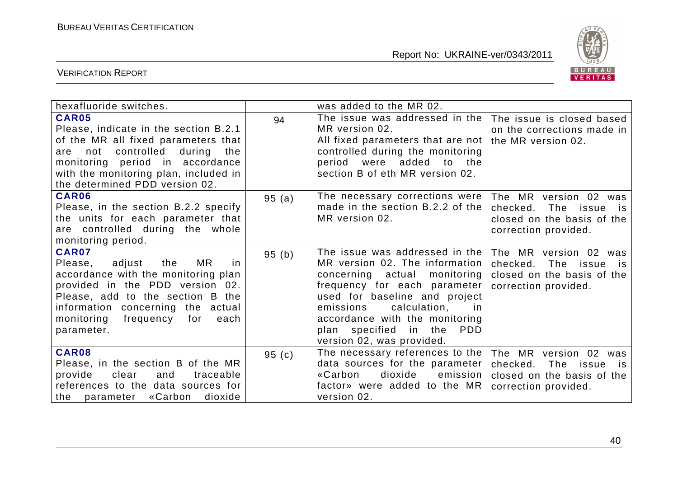

| hexafluoride switches.                                                                                                                                                                                                                                        |       | was added to the MR 02.                                                                                                                                                                                                                                                                                     |                                                                                                             |
|---------------------------------------------------------------------------------------------------------------------------------------------------------------------------------------------------------------------------------------------------------------|-------|-------------------------------------------------------------------------------------------------------------------------------------------------------------------------------------------------------------------------------------------------------------------------------------------------------------|-------------------------------------------------------------------------------------------------------------|
| <b>CAR05</b><br>Please, indicate in the section B.2.1<br>of the MR all fixed parameters that<br>not controlled<br>during the<br>are<br>monitoring period in accordance<br>with the monitoring plan, included in<br>the determined PDD version 02.             | 94    | The issue was addressed in the<br>MR version 02.<br>All fixed parameters that are not<br>controlled during the monitoring<br>period were added to the<br>section B of eth MR version 02.                                                                                                                    | The issue is closed based<br>on the corrections made in<br>the MR version 02.                               |
| <b>CAR06</b><br>Please, in the section B.2.2 specify<br>the units for each parameter that<br>are controlled during the whole<br>monitoring period.                                                                                                            | 95(a) | The necessary corrections were<br>made in the section B.2.2 of the<br>MR version 02.                                                                                                                                                                                                                        | The MR version 02 was<br>checked.<br>The issue is<br>closed on the basis of the<br>correction provided.     |
| <b>CAR07</b><br>MR<br>Please,<br>adjust<br>the<br>in.<br>accordance with the monitoring plan<br>provided in the PDD version 02.<br>Please, add to the section B the<br>information concerning the actual<br>monitoring<br>frequency for<br>each<br>parameter. | 95(b) | The issue was addressed in the<br>MR version 02. The information<br>concerning actual monitoring<br>frequency for each parameter<br>used for baseline and project<br>calculation,<br>emissions<br>in.<br>accordance with the monitoring<br>plan specified in the<br><b>PDD</b><br>version 02, was provided. | The MR version 02 was<br>The issue<br>checked.<br>is.<br>closed on the basis of the<br>correction provided. |
| CAR08<br>Please, in the section B of the MR<br>clear<br>provide<br>and<br>traceable<br>references to the data sources for<br>«Carbon<br>dioxide<br>the parameter                                                                                              | 95(c) | The necessary references to the<br>data sources for the parameter<br>dioxide<br>«Carbon<br>emission<br>factor» were added to the MR<br>version 02.                                                                                                                                                          | The MR version 02 was<br>checked.<br>The issue is<br>closed on the basis of the<br>correction provided.     |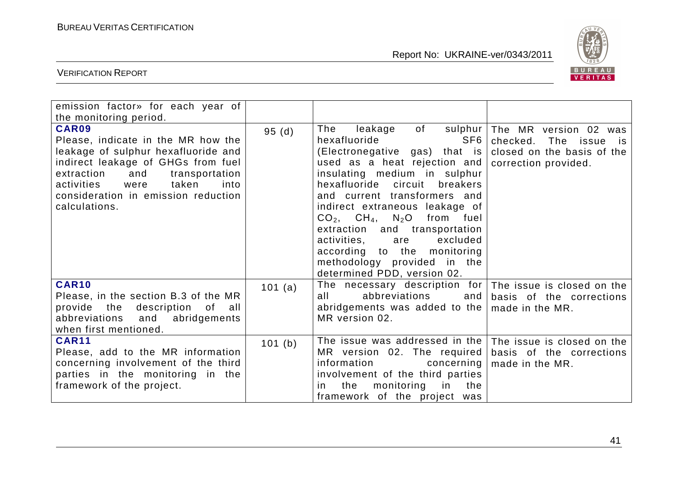

| emission factor» for each year of<br>the monitoring period.                                                                                                                                                                                                    |         |                                                                                                                                                                                                                                                                                                                                                                                                                                                 |                                                                                                                         |
|----------------------------------------------------------------------------------------------------------------------------------------------------------------------------------------------------------------------------------------------------------------|---------|-------------------------------------------------------------------------------------------------------------------------------------------------------------------------------------------------------------------------------------------------------------------------------------------------------------------------------------------------------------------------------------------------------------------------------------------------|-------------------------------------------------------------------------------------------------------------------------|
| CAR09<br>Please, indicate in the MR how the<br>leakage of sulphur hexafluoride and<br>indirect leakage of GHGs from fuel<br>extraction<br>and<br>transportation<br>taken<br>activities<br>were<br>into<br>consideration in emission reduction<br>calculations. | 95(d)   | The<br>hexafluoride<br>SF6<br>(Electronegative gas) that is<br>used as a heat rejection and<br>insulating medium in sulphur<br>hexafluoride circuit<br>breakers<br>and current transformers and<br>indirect extraneous leakage of<br>$CO2$ , $CH4$ , N <sub>2</sub> O from fuel<br>extraction and transportation<br>activities,<br>excluded<br>are<br>according to the monitoring<br>methodology provided in the<br>determined PDD, version 02. | leakage of sulphur The MR version 02 was<br>checked. The issue is<br>closed on the basis of the<br>correction provided. |
| <b>CAR10</b><br>Please, in the section B.3 of the MR<br>provide the description of all<br>abbreviations and<br>abridgements<br>when first mentioned.                                                                                                           | 101 (a) | The necessary description for<br>abbreviations<br>all a<br>and<br>abridgements was added to the $ $<br>MR version 02.                                                                                                                                                                                                                                                                                                                           | The issue is closed on the<br>basis of the corrections<br>made in the MR.                                               |
| <b>CAR11</b><br>Please, add to the MR information<br>concerning involvement of the third<br>parties in the monitoring in the<br>framework of the project.                                                                                                      | 101 (b) | The issue was addressed in the<br>MR version 02. The required<br>information<br>concerning<br>involvement of the third parties<br>the<br>monitoring in<br>the<br>in.<br>framework of the project was                                                                                                                                                                                                                                            | The issue is closed on the<br>basis of the corrections<br>made in the MR.                                               |